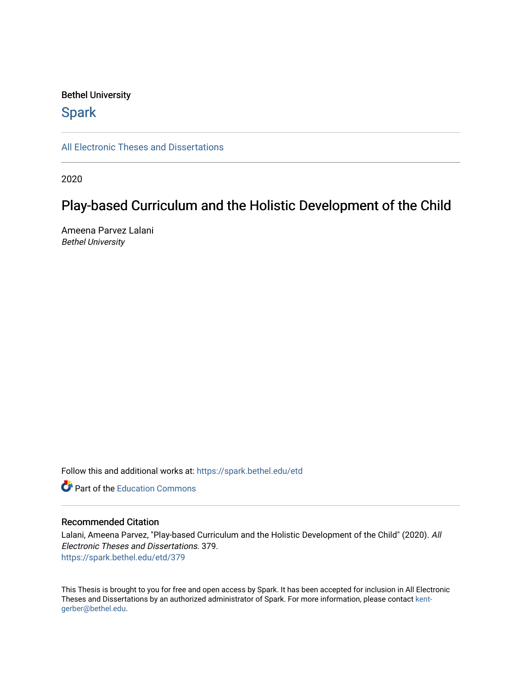### Bethel University

## **Spark**

[All Electronic Theses and Dissertations](https://spark.bethel.edu/etd) 

2020

# Play-based Curriculum and the Holistic Development of the Child

Ameena Parvez Lalani Bethel University

Follow this and additional works at: [https://spark.bethel.edu/etd](https://spark.bethel.edu/etd?utm_source=spark.bethel.edu%2Fetd%2F379&utm_medium=PDF&utm_campaign=PDFCoverPages)

**C** Part of the [Education Commons](http://network.bepress.com/hgg/discipline/784?utm_source=spark.bethel.edu%2Fetd%2F379&utm_medium=PDF&utm_campaign=PDFCoverPages)

### Recommended Citation

Lalani, Ameena Parvez, "Play-based Curriculum and the Holistic Development of the Child" (2020). All Electronic Theses and Dissertations. 379. [https://spark.bethel.edu/etd/379](https://spark.bethel.edu/etd/379?utm_source=spark.bethel.edu%2Fetd%2F379&utm_medium=PDF&utm_campaign=PDFCoverPages)

This Thesis is brought to you for free and open access by Spark. It has been accepted for inclusion in All Electronic Theses and Dissertations by an authorized administrator of Spark. For more information, please contact [kent](mailto:kent-gerber@bethel.edu)[gerber@bethel.edu.](mailto:kent-gerber@bethel.edu)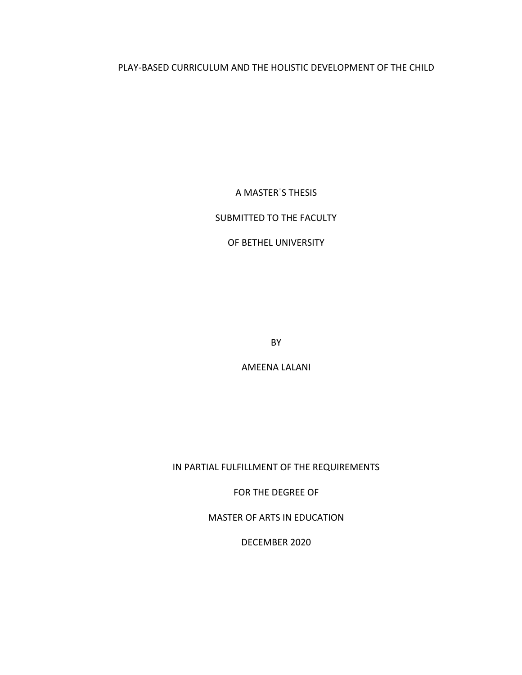### PLAY-BASED CURRICULUM AND THE HOLISTIC DEVELOPMENT OF THE CHILD

A MASTERˈS THESIS

### SUBMITTED TO THE FACULTY

### OF BETHEL UNIVERSITY

BY

AMEENA LALANI

IN PARTIAL FULFILLMENT OF THE REQUIREMENTS

FOR THE DEGREE OF

MASTER OF ARTS IN EDUCATION

DECEMBER 2020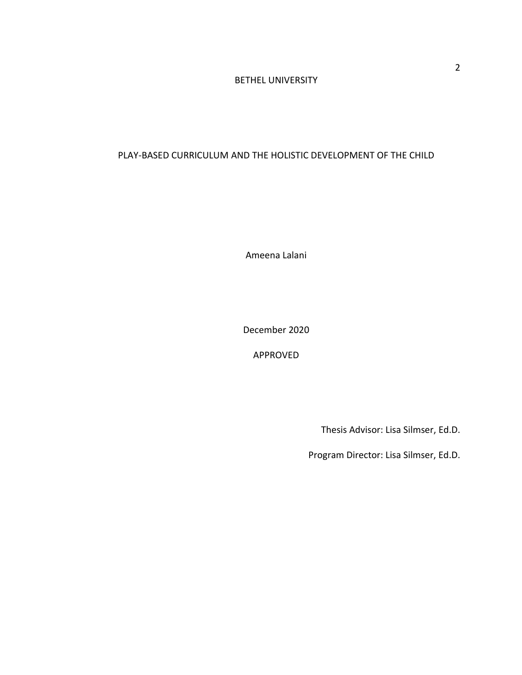### BETHEL UNIVERSITY

### PLAY-BASED CURRICULUM AND THE HOLISTIC DEVELOPMENT OF THE CHILD

Ameena Lalani

December 2020

APPROVED

Thesis Advisor: Lisa Silmser, Ed.D.

Program Director: Lisa Silmser, Ed.D.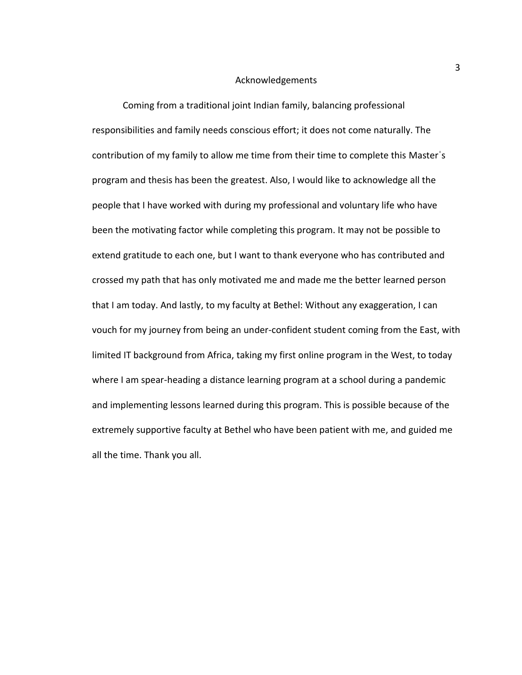#### Acknowledgements

Coming from a traditional joint Indian family, balancing professional responsibilities and family needs conscious effort; it does not come naturally. The contribution of my family to allow me time from their time to complete this Masterˈs program and thesis has been the greatest. Also, I would like to acknowledge all the people that I have worked with during my professional and voluntary life who have been the motivating factor while completing this program. It may not be possible to extend gratitude to each one, but I want to thank everyone who has contributed and crossed my path that has only motivated me and made me the better learned person that I am today. And lastly, to my faculty at Bethel: Without any exaggeration, I can vouch for my journey from being an under-confident student coming from the East, with limited IT background from Africa, taking my first online program in the West, to today where I am spear-heading a distance learning program at a school during a pandemic and implementing lessons learned during this program. This is possible because of the extremely supportive faculty at Bethel who have been patient with me, and guided me all the time. Thank you all.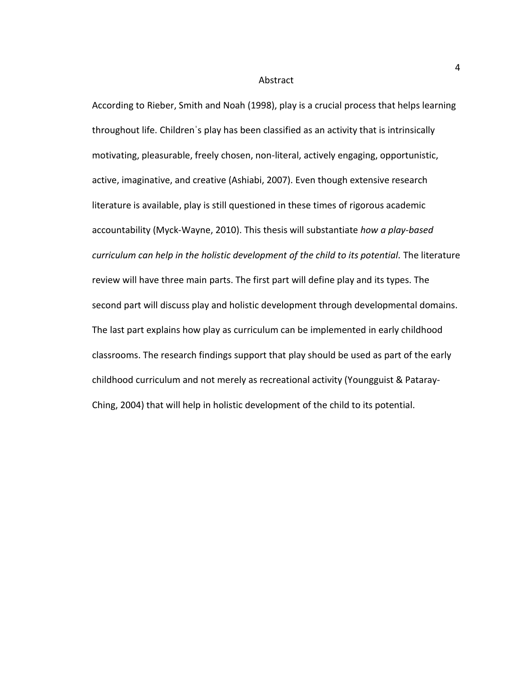#### Abstract

According to Rieber, Smith and Noah (1998), play is a crucial process that helps learning throughout life. Childrenˈs play has been classified as an activity that is intrinsically motivating, pleasurable, freely chosen, non-literal, actively engaging, opportunistic, active, imaginative, and creative (Ashiabi, 2007). Even though extensive research literature is available, play is still questioned in these times of rigorous academic accountability (Myck-Wayne, 2010). This thesis will substantiate *how a play-based curriculum can help in the holistic development of the child to its potential.* The literature review will have three main parts. The first part will define play and its types. The second part will discuss play and holistic development through developmental domains. The last part explains how play as curriculum can be implemented in early childhood classrooms. The research findings support that play should be used as part of the early childhood curriculum and not merely as recreational activity (Youngguist & Pataray-Ching, 2004) that will help in holistic development of the child to its potential.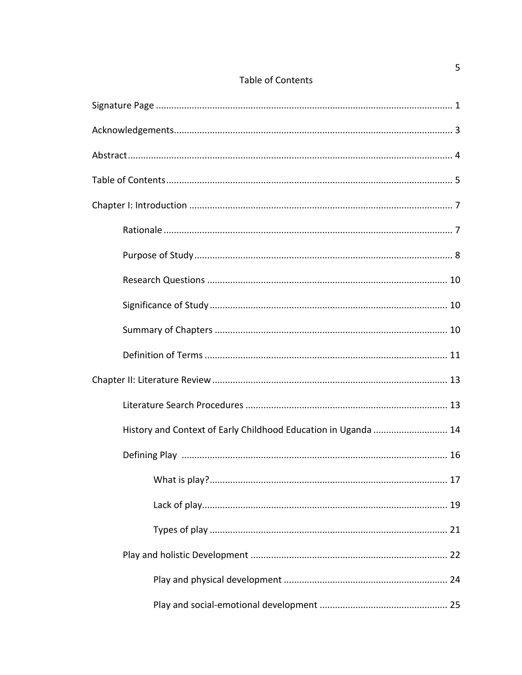|--|

| History and Context of Early Childhood Education in Uganda  14 |
|----------------------------------------------------------------|
|                                                                |
|                                                                |
|                                                                |
|                                                                |
|                                                                |
|                                                                |
|                                                                |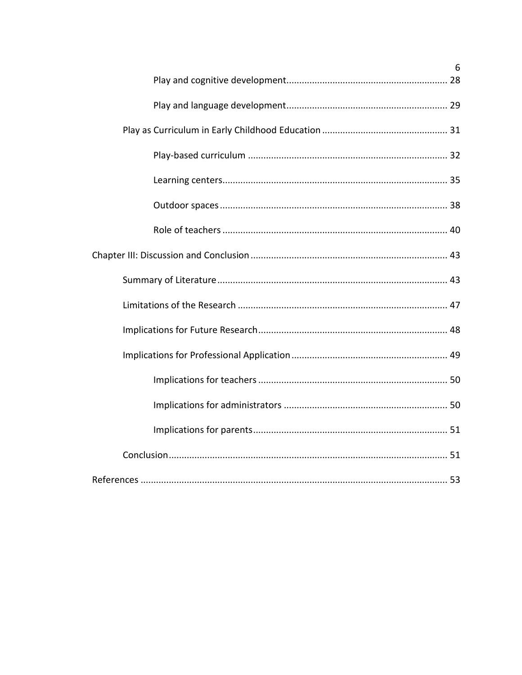| 6 |
|---|
|   |
|   |
|   |
|   |
|   |
|   |
|   |
|   |
|   |
|   |
|   |
|   |
|   |
|   |
|   |
|   |
|   |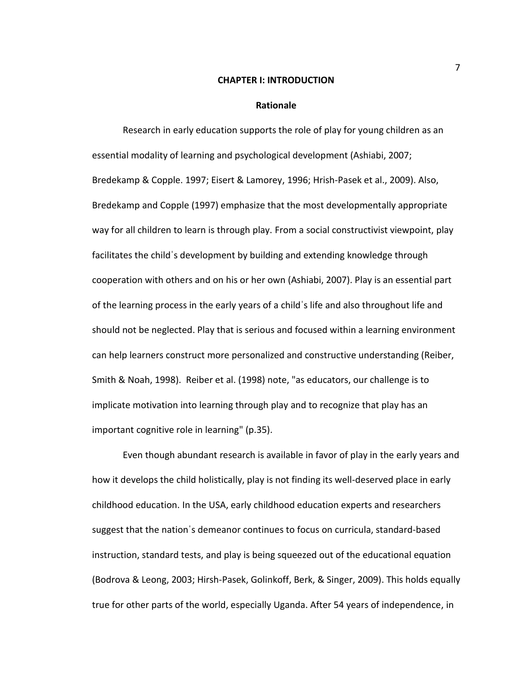#### **CHAPTER I: INTRODUCTION**

#### **Rationale**

Research in early education supports the role of play for young children as an essential modality of learning and psychological development (Ashiabi, 2007; Bredekamp & Copple. 1997; Eisert & Lamorey, 1996; Hrish-Pasek et al., 2009). Also, Bredekamp and Copple (1997) emphasize that the most developmentally appropriate way for all children to learn is through play. From a social constructivist viewpoint, play facilitates the childˈs development by building and extending knowledge through cooperation with others and on his or her own (Ashiabi, 2007). Play is an essential part of the learning process in the early years of a childˈs life and also throughout life and should not be neglected. Play that is serious and focused within a learning environment can help learners construct more personalized and constructive understanding (Reiber, Smith & Noah, 1998). Reiber et al. (1998) note, "as educators, our challenge is to implicate motivation into learning through play and to recognize that play has an important cognitive role in learning" (p.35).

Even though abundant research is available in favor of play in the early years and how it develops the child holistically, play is not finding its well-deserved place in early childhood education. In the USA, early childhood education experts and researchers suggest that the nationˈs demeanor continues to focus on curricula, standard-based instruction, standard tests, and play is being squeezed out of the educational equation (Bodrova & Leong, 2003; Hirsh-Pasek, Golinkoff, Berk, & Singer, 2009). This holds equally true for other parts of the world, especially Uganda. After 54 years of independence, in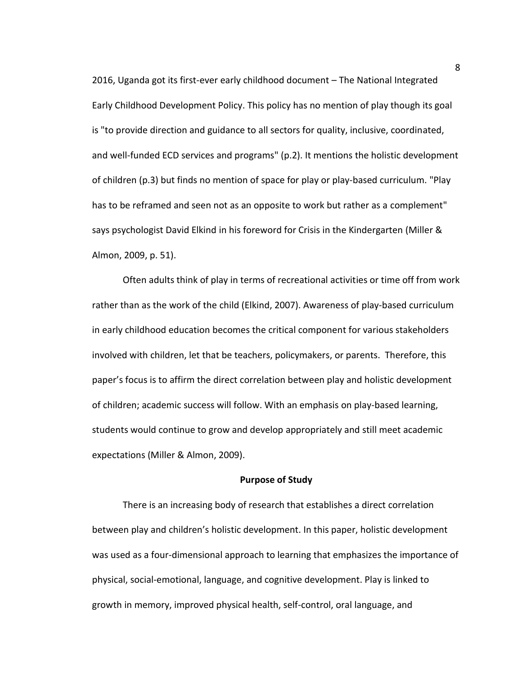2016, Uganda got its first-ever early childhood document – The National Integrated Early Childhood Development Policy. This policy has no mention of play though its goal is "to provide direction and guidance to all sectors for quality, inclusive, coordinated, and well-funded ECD services and programs" (p.2). It mentions the holistic development of children (p.3) but finds no mention of space for play or play-based curriculum. "Play has to be reframed and seen not as an opposite to work but rather as a complement" says psychologist David Elkind in his foreword for Crisis in the Kindergarten (Miller & Almon, 2009, p. 51).

Often adults think of play in terms of recreational activities or time off from work rather than as the work of the child (Elkind, 2007). Awareness of play-based curriculum in early childhood education becomes the critical component for various stakeholders involved with children, let that be teachers, policymakers, or parents. Therefore, this paper's focus is to affirm the direct correlation between play and holistic development of children; academic success will follow. With an emphasis on play-based learning, students would continue to grow and develop appropriately and still meet academic expectations (Miller & Almon, 2009).

#### **Purpose of Study**

There is an increasing body of research that establishes a direct correlation between play and children's holistic development. In this paper, holistic development was used as a four-dimensional approach to learning that emphasizes the importance of physical, social-emotional, language, and cognitive development. Play is linked to growth in memory, improved physical health, self-control, oral language, and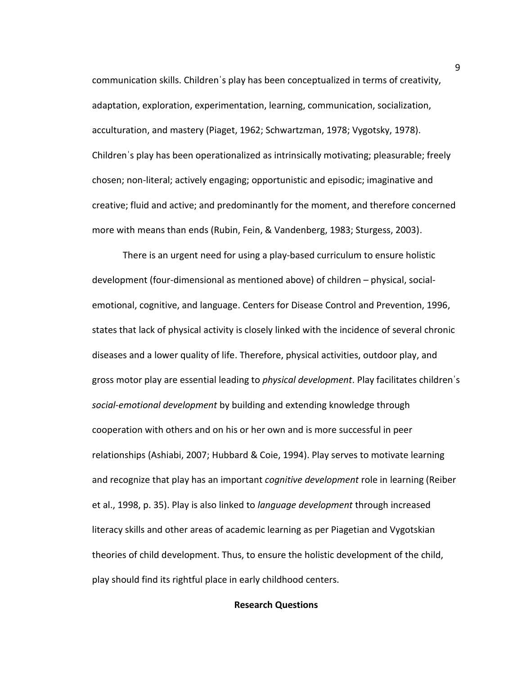communication skills. Childrenˈs play has been conceptualized in terms of creativity, adaptation, exploration, experimentation, learning, communication, socialization, acculturation, and mastery (Piaget, 1962; Schwartzman, 1978; Vygotsky, 1978). Childrenˈs play has been operationalized as intrinsically motivating; pleasurable; freely chosen; non-literal; actively engaging; opportunistic and episodic; imaginative and creative; fluid and active; and predominantly for the moment, and therefore concerned more with means than ends (Rubin, Fein, & Vandenberg, 1983; Sturgess, 2003).

There is an urgent need for using a play-based curriculum to ensure holistic development (four-dimensional as mentioned above) of children – physical, socialemotional, cognitive, and language. Centers for Disease Control and Prevention, 1996, states that lack of physical activity is closely linked with the incidence of several chronic diseases and a lower quality of life. Therefore, physical activities, outdoor play, and gross motor play are essential leading to *physical development*. Play facilitates childrenˈs *social-emotional development* by building and extending knowledge through cooperation with others and on his or her own and is more successful in peer relationships (Ashiabi, 2007; Hubbard & Coie, 1994). Play serves to motivate learning and recognize that play has an important *cognitive development* role in learning (Reiber et al., 1998, p. 35). Play is also linked to *language development* through increased literacy skills and other areas of academic learning as per Piagetian and Vygotskian theories of child development. Thus, to ensure the holistic development of the child, play should find its rightful place in early childhood centers.

#### **Research Questions**

9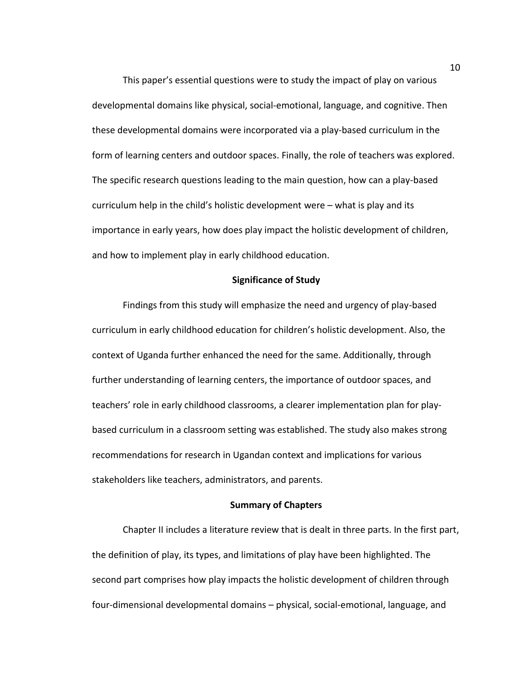This paper's essential questions were to study the impact of play on various developmental domains like physical, social-emotional, language, and cognitive. Then these developmental domains were incorporated via a play-based curriculum in the form of learning centers and outdoor spaces. Finally, the role of teachers was explored. The specific research questions leading to the main question, how can a play-based curriculum help in the child's holistic development were – what is play and its importance in early years, how does play impact the holistic development of children, and how to implement play in early childhood education.

#### **Significance of Study**

Findings from this study will emphasize the need and urgency of play-based curriculum in early childhood education for children's holistic development. Also, the context of Uganda further enhanced the need for the same. Additionally, through further understanding of learning centers, the importance of outdoor spaces, and teachers' role in early childhood classrooms, a clearer implementation plan for playbased curriculum in a classroom setting was established. The study also makes strong recommendations for research in Ugandan context and implications for various stakeholders like teachers, administrators, and parents.

#### **Summary of Chapters**

Chapter II includes a literature review that is dealt in three parts. In the first part, the definition of play, its types, and limitations of play have been highlighted. The second part comprises how play impacts the holistic development of children through four-dimensional developmental domains – physical, social-emotional, language, and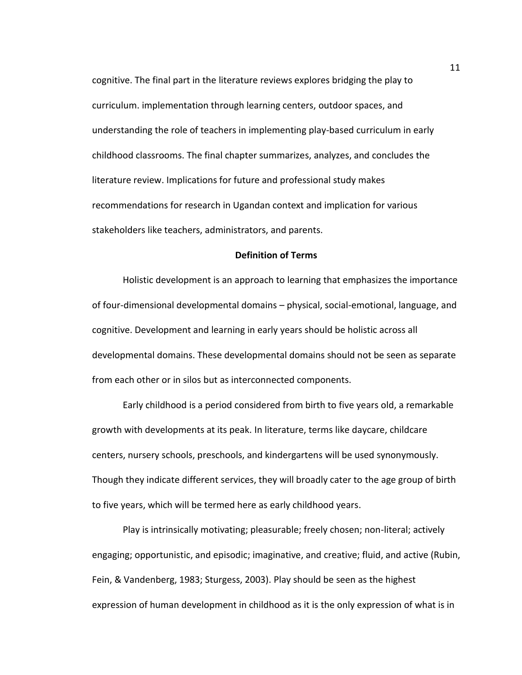cognitive. The final part in the literature reviews explores bridging the play to curriculum. implementation through learning centers, outdoor spaces, and understanding the role of teachers in implementing play-based curriculum in early childhood classrooms. The final chapter summarizes, analyzes, and concludes the literature review. Implications for future and professional study makes recommendations for research in Ugandan context and implication for various stakeholders like teachers, administrators, and parents.

#### **Definition of Terms**

Holistic development is an approach to learning that emphasizes the importance of four-dimensional developmental domains – physical, social-emotional, language, and cognitive. Development and learning in early years should be holistic across all developmental domains. These developmental domains should not be seen as separate from each other or in silos but as interconnected components.

Early childhood is a period considered from birth to five years old, a remarkable growth with developments at its peak. In literature, terms like daycare, childcare centers, nursery schools, preschools, and kindergartens will be used synonymously. Though they indicate different services, they will broadly cater to the age group of birth to five years, which will be termed here as early childhood years.

Play is intrinsically motivating; pleasurable; freely chosen; non-literal; actively engaging; opportunistic, and episodic; imaginative, and creative; fluid, and active (Rubin, Fein, & Vandenberg, 1983; Sturgess, 2003). Play should be seen as the highest expression of human development in childhood as it is the only expression of what is in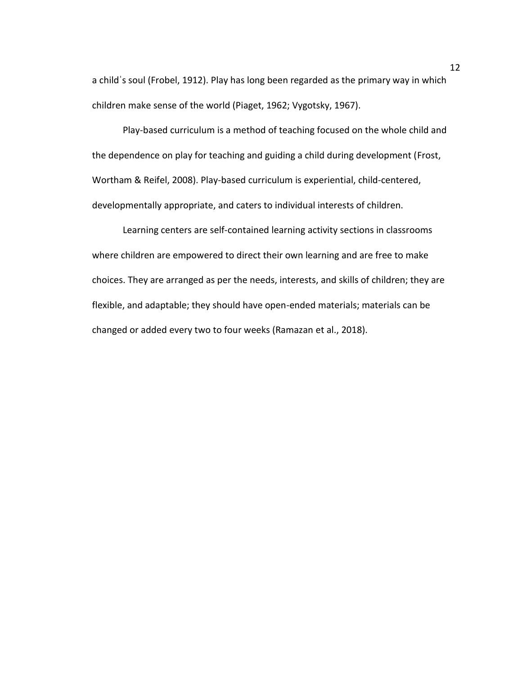a childˈs soul (Frobel, 1912). Play has long been regarded as the primary way in which children make sense of the world (Piaget, 1962; Vygotsky, 1967).

Play-based curriculum is a method of teaching focused on the whole child and the dependence on play for teaching and guiding a child during development (Frost, Wortham & Reifel, 2008). Play-based curriculum is experiential, child-centered, developmentally appropriate, and caters to individual interests of children.

Learning centers are self-contained learning activity sections in classrooms where children are empowered to direct their own learning and are free to make choices. They are arranged as per the needs, interests, and skills of children; they are flexible, and adaptable; they should have open-ended materials; materials can be changed or added every two to four weeks (Ramazan et al., 2018).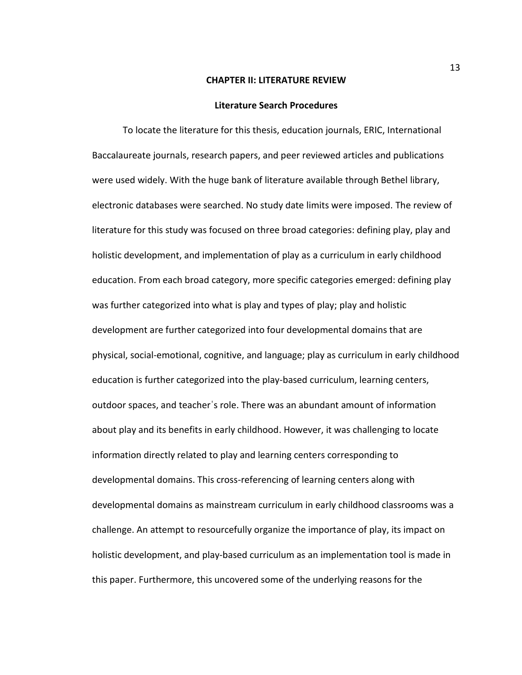#### **CHAPTER II: LITERATURE REVIEW**

#### **Literature Search Procedures**

To locate the literature for this thesis, education journals, ERIC, International Baccalaureate journals, research papers, and peer reviewed articles and publications were used widely. With the huge bank of literature available through Bethel library, electronic databases were searched. No study date limits were imposed. The review of literature for this study was focused on three broad categories: defining play, play and holistic development, and implementation of play as a curriculum in early childhood education. From each broad category, more specific categories emerged: defining play was further categorized into what is play and types of play; play and holistic development are further categorized into four developmental domains that are physical, social-emotional, cognitive, and language; play as curriculum in early childhood education is further categorized into the play-based curriculum, learning centers, outdoor spaces, and teacherˈs role. There was an abundant amount of information about play and its benefits in early childhood. However, it was challenging to locate information directly related to play and learning centers corresponding to developmental domains. This cross-referencing of learning centers along with developmental domains as mainstream curriculum in early childhood classrooms was a challenge. An attempt to resourcefully organize the importance of play, its impact on holistic development, and play-based curriculum as an implementation tool is made in this paper. Furthermore, this uncovered some of the underlying reasons for the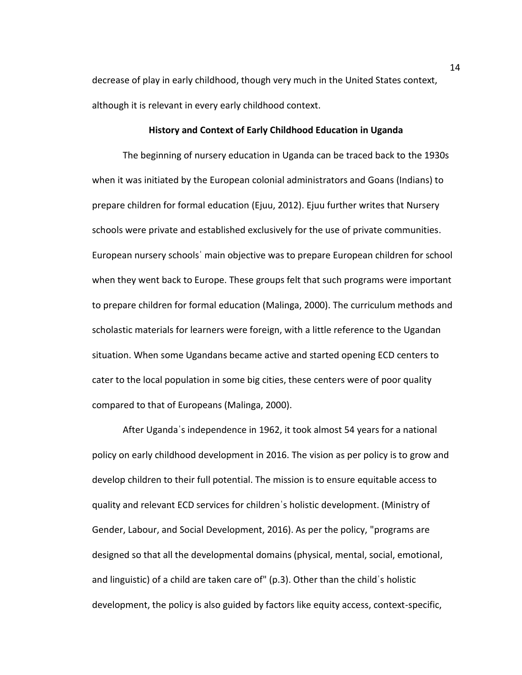decrease of play in early childhood, though very much in the United States context, although it is relevant in every early childhood context.

#### **History and Context of Early Childhood Education in Uganda**

The beginning of nursery education in Uganda can be traced back to the 1930s when it was initiated by the European colonial administrators and Goans (Indians) to prepare children for formal education (Ejuu, 2012). Ejuu further writes that Nursery schools were private and established exclusively for the use of private communities. European nursery schoolsˈ main objective was to prepare European children for school when they went back to Europe. These groups felt that such programs were important to prepare children for formal education (Malinga, 2000). The curriculum methods and scholastic materials for learners were foreign, with a little reference to the Ugandan situation. When some Ugandans became active and started opening ECD centers to cater to the local population in some big cities, these centers were of poor quality compared to that of Europeans (Malinga, 2000).

After Ugandaˈs independence in 1962, it took almost 54 years for a national policy on early childhood development in 2016. The vision as per policy is to grow and develop children to their full potential. The mission is to ensure equitable access to quality and relevant ECD services for childrenˈs holistic development. (Ministry of Gender, Labour, and Social Development, 2016). As per the policy, "programs are designed so that all the developmental domains (physical, mental, social, emotional, and linguistic) of a child are taken care of" (p.3). Other than the childˈs holistic development, the policy is also guided by factors like equity access, context-specific,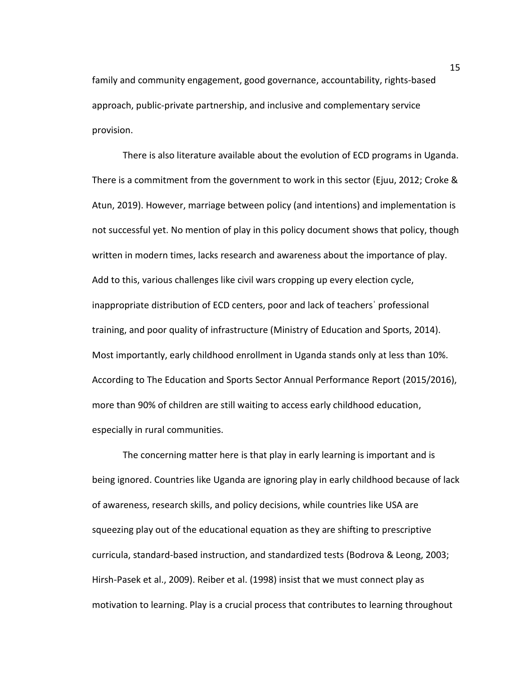family and community engagement, good governance, accountability, rights-based approach, public-private partnership, and inclusive and complementary service provision.

There is also literature available about the evolution of ECD programs in Uganda. There is a commitment from the government to work in this sector (Ejuu, 2012; Croke & Atun, 2019). However, marriage between policy (and intentions) and implementation is not successful yet. No mention of play in this policy document shows that policy, though written in modern times, lacks research and awareness about the importance of play. Add to this, various challenges like civil wars cropping up every election cycle, inappropriate distribution of ECD centers, poor and lack of teachersˈ professional training, and poor quality of infrastructure (Ministry of Education and Sports, 2014). Most importantly, early childhood enrollment in Uganda stands only at less than 10%. According to The Education and Sports Sector Annual Performance Report (2015/2016), more than 90% of children are still waiting to access early childhood education, especially in rural communities.

The concerning matter here is that play in early learning is important and is being ignored. Countries like Uganda are ignoring play in early childhood because of lack of awareness, research skills, and policy decisions, while countries like USA are squeezing play out of the educational equation as they are shifting to prescriptive curricula, standard-based instruction, and standardized tests (Bodrova & Leong, 2003; Hirsh-Pasek et al., 2009). Reiber et al. (1998) insist that we must connect play as motivation to learning. Play is a crucial process that contributes to learning throughout

15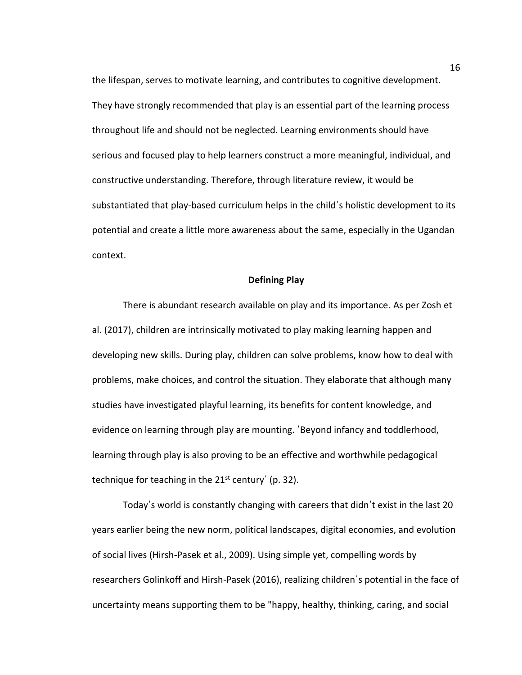the lifespan, serves to motivate learning, and contributes to cognitive development. They have strongly recommended that play is an essential part of the learning process throughout life and should not be neglected. Learning environments should have serious and focused play to help learners construct a more meaningful, individual, and constructive understanding. Therefore, through literature review, it would be substantiated that play-based curriculum helps in the childˈs holistic development to its potential and create a little more awareness about the same, especially in the Ugandan context.

#### **Defining Play**

There is abundant research available on play and its importance. As per Zosh et al. (2017), children are intrinsically motivated to play making learning happen and developing new skills. During play, children can solve problems, know how to deal with problems, make choices, and control the situation. They elaborate that although many studies have investigated playful learning, its benefits for content knowledge, and evidence on learning through play are mounting. ˈBeyond infancy and toddlerhood, learning through play is also proving to be an effective and worthwhile pedagogical technique for teaching in the  $21^{st}$  century' (p. 32).

Todayˈs world is constantly changing with careers that didnˈt exist in the last 20 years earlier being the new norm, political landscapes, digital economies, and evolution of social lives (Hirsh-Pasek et al., 2009). Using simple yet, compelling words by researchers Golinkoff and Hirsh-Pasek (2016), realizing childrenˈs potential in the face of uncertainty means supporting them to be "happy, healthy, thinking, caring, and social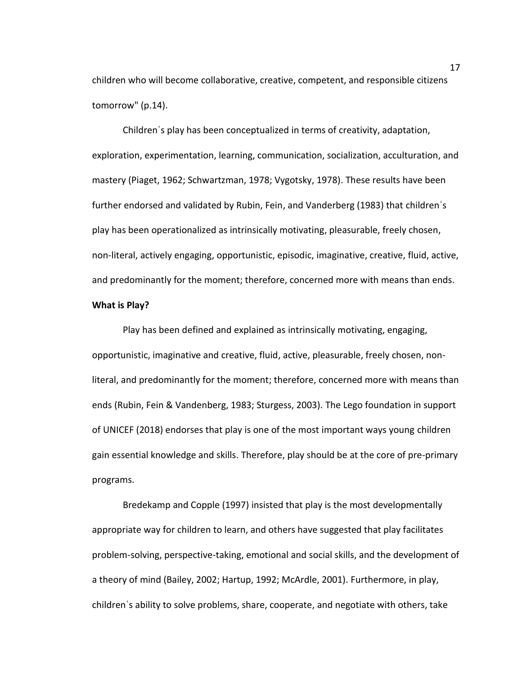children who will become collaborative, creative, competent, and responsible citizens tomorrow" (p.14).

Childrenˈs play has been conceptualized in terms of creativity, adaptation, exploration, experimentation, learning, communication, socialization, acculturation, and mastery (Piaget, 1962; Schwartzman, 1978; Vygotsky, 1978). These results have been further endorsed and validated by Rubin, Fein, and Vanderberg (1983) that childrenˈs play has been operationalized as intrinsically motivating, pleasurable, freely chosen, non-literal, actively engaging, opportunistic, episodic, imaginative, creative, fluid, active, and predominantly for the moment; therefore, concerned more with means than ends.

### **What is Play?**

Play has been defined and explained as intrinsically motivating, engaging, opportunistic, imaginative and creative, fluid, active, pleasurable, freely chosen, nonliteral, and predominantly for the moment; therefore, concerned more with means than ends (Rubin, Fein & Vandenberg, 1983; Sturgess, 2003). The Lego foundation in support of UNICEF (2018) endorses that play is one of the most important ways young children gain essential knowledge and skills. Therefore, play should be at the core of pre-primary programs.

Bredekamp and Copple (1997) insisted that play is the most developmentally appropriate way for children to learn, and others have suggested that play facilitates problem-solving, perspective-taking, emotional and social skills, and the development of a theory of mind (Bailey, 2002; Hartup, 1992; McArdle, 2001). Furthermore, in play, childrenˈs ability to solve problems, share, cooperate, and negotiate with others, take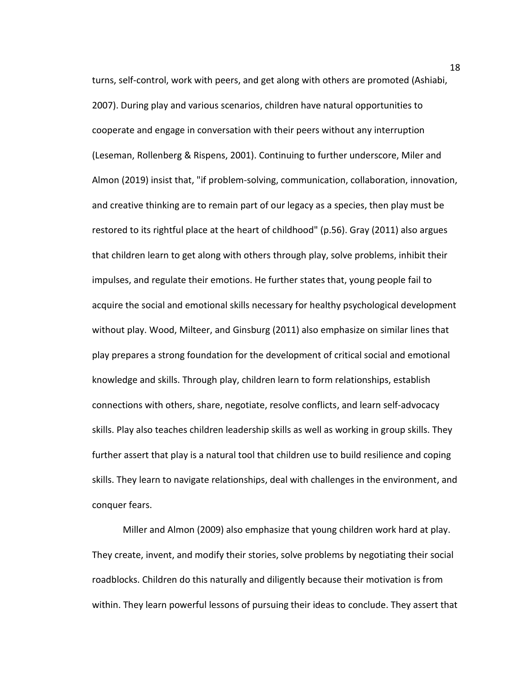turns, self-control, work with peers, and get along with others are promoted (Ashiabi, 2007). During play and various scenarios, children have natural opportunities to cooperate and engage in conversation with their peers without any interruption (Leseman, Rollenberg & Rispens, 2001). Continuing to further underscore, Miler and Almon (2019) insist that, "if problem-solving, communication, collaboration, innovation, and creative thinking are to remain part of our legacy as a species, then play must be restored to its rightful place at the heart of childhood" (p.56). Gray (2011) also argues that children learn to get along with others through play, solve problems, inhibit their impulses, and regulate their emotions. He further states that, young people fail to acquire the social and emotional skills necessary for healthy psychological development without play. Wood, Milteer, and Ginsburg (2011) also emphasize on similar lines that play prepares a strong foundation for the development of critical social and emotional knowledge and skills. Through play, children learn to form relationships, establish connections with others, share, negotiate, resolve conflicts, and learn self-advocacy skills. Play also teaches children leadership skills as well as working in group skills. They further assert that play is a natural tool that children use to build resilience and coping skills. They learn to navigate relationships, deal with challenges in the environment, and conquer fears.

Miller and Almon (2009) also emphasize that young children work hard at play. They create, invent, and modify their stories, solve problems by negotiating their social roadblocks. Children do this naturally and diligently because their motivation is from within. They learn powerful lessons of pursuing their ideas to conclude. They assert that

18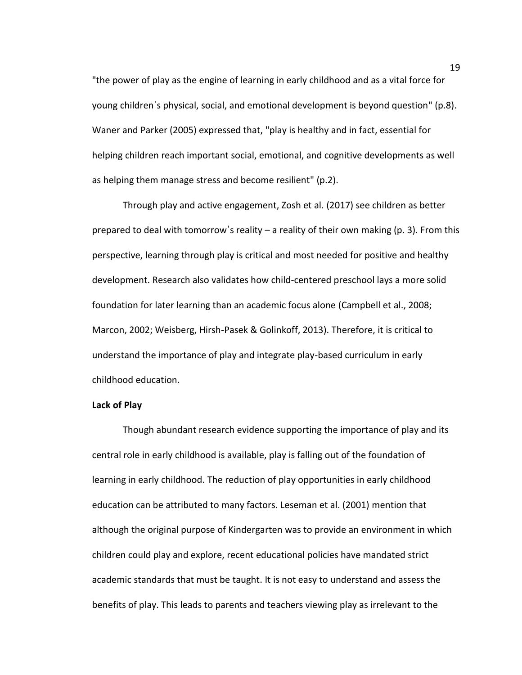"the power of play as the engine of learning in early childhood and as a vital force for young childrenˈs physical, social, and emotional development is beyond question" (p.8). Waner and Parker (2005) expressed that, "play is healthy and in fact, essential for helping children reach important social, emotional, and cognitive developments as well as helping them manage stress and become resilient" (p.2).

Through play and active engagement, Zosh et al. (2017) see children as better prepared to deal with tomorrow's reality – a reality of their own making (p. 3). From this perspective, learning through play is critical and most needed for positive and healthy development. Research also validates how child-centered preschool lays a more solid foundation for later learning than an academic focus alone (Campbell et al., 2008; Marcon, 2002; Weisberg, Hirsh-Pasek & Golinkoff, 2013). Therefore, it is critical to understand the importance of play and integrate play-based curriculum in early childhood education.

#### **Lack of Play**

Though abundant research evidence supporting the importance of play and its central role in early childhood is available, play is falling out of the foundation of learning in early childhood. The reduction of play opportunities in early childhood education can be attributed to many factors. Leseman et al. (2001) mention that although the original purpose of Kindergarten was to provide an environment in which children could play and explore, recent educational policies have mandated strict academic standards that must be taught. It is not easy to understand and assess the benefits of play. This leads to parents and teachers viewing play as irrelevant to the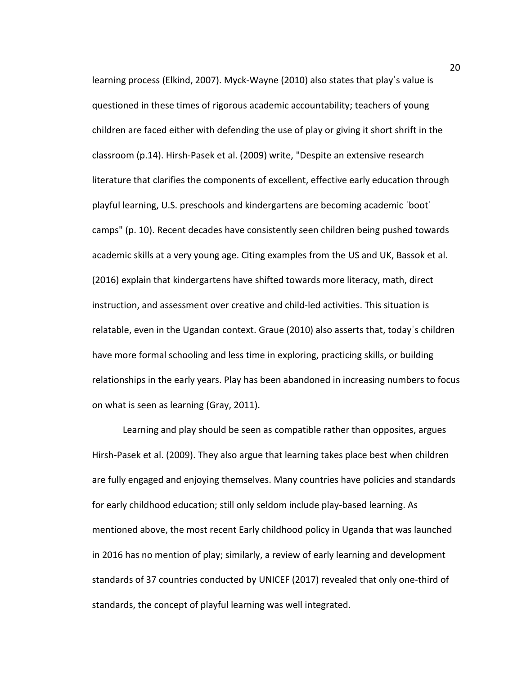learning process (Elkind, 2007). Myck-Wayne (2010) also states that playˈs value is questioned in these times of rigorous academic accountability; teachers of young children are faced either with defending the use of play or giving it short shrift in the classroom (p.14). Hirsh-Pasek et al. (2009) write, "Despite an extensive research literature that clarifies the components of excellent, effective early education through playful learning, U.S. preschools and kindergartens are becoming academic ˈbootˈ camps" (p. 10). Recent decades have consistently seen children being pushed towards academic skills at a very young age. Citing examples from the US and UK, Bassok et al. (2016) explain that kindergartens have shifted towards more literacy, math, direct instruction, and assessment over creative and child-led activities. This situation is relatable, even in the Ugandan context. Graue (2010) also asserts that, todayˈs children have more formal schooling and less time in exploring, practicing skills, or building relationships in the early years. Play has been abandoned in increasing numbers to focus on what is seen as learning (Gray, 2011).

Learning and play should be seen as compatible rather than opposites, argues Hirsh-Pasek et al. (2009). They also argue that learning takes place best when children are fully engaged and enjoying themselves. Many countries have policies and standards for early childhood education; still only seldom include play-based learning. As mentioned above, the most recent Early childhood policy in Uganda that was launched in 2016 has no mention of play; similarly, a review of early learning and development standards of 37 countries conducted by UNICEF (2017) revealed that only one-third of standards, the concept of playful learning was well integrated.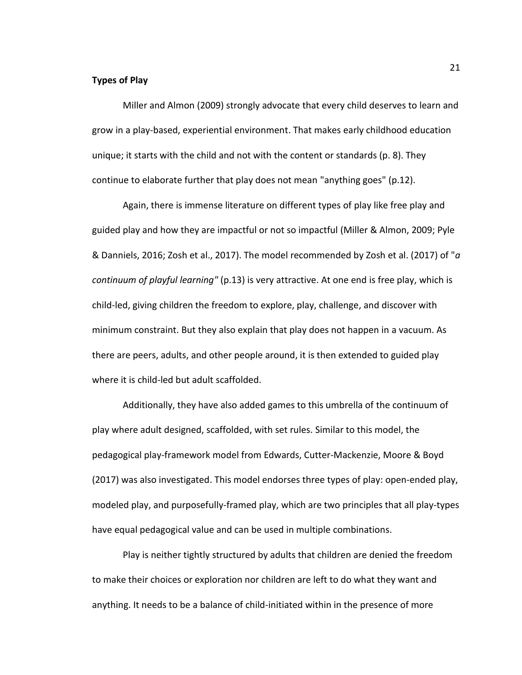### **Types of Play**

Miller and Almon (2009) strongly advocate that every child deserves to learn and grow in a play-based, experiential environment. That makes early childhood education unique; it starts with the child and not with the content or standards (p. 8). They continue to elaborate further that play does not mean "anything goes" (p.12).

Again, there is immense literature on different types of play like free play and guided play and how they are impactful or not so impactful (Miller & Almon, 2009; Pyle & Danniels, 2016; Zosh et al., 2017). The model recommended by Zosh et al. (2017) of "*a continuum of playful learning"* (p.13) is very attractive. At one end is free play, which is child-led, giving children the freedom to explore, play, challenge, and discover with minimum constraint. But they also explain that play does not happen in a vacuum. As there are peers, adults, and other people around, it is then extended to guided play where it is child-led but adult scaffolded.

Additionally, they have also added games to this umbrella of the continuum of play where adult designed, scaffolded, with set rules. Similar to this model, the pedagogical play-framework model from Edwards, Cutter-Mackenzie, Moore & Boyd (2017) was also investigated. This model endorses three types of play: open-ended play, modeled play, and purposefully-framed play, which are two principles that all play-types have equal pedagogical value and can be used in multiple combinations.

Play is neither tightly structured by adults that children are denied the freedom to make their choices or exploration nor children are left to do what they want and anything. It needs to be a balance of child-initiated within in the presence of more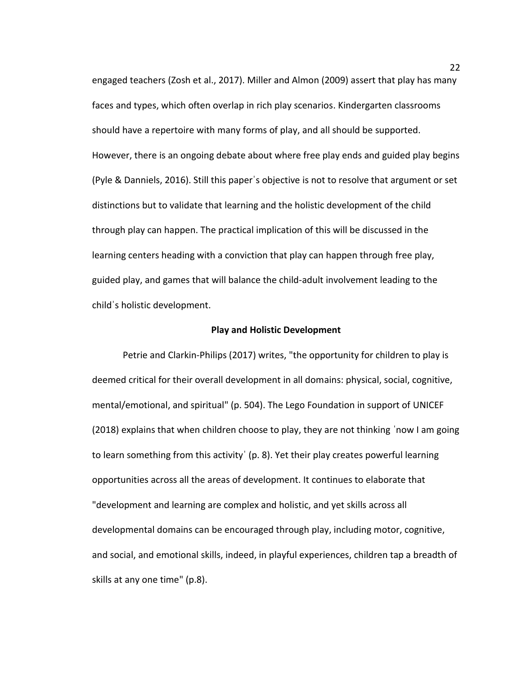engaged teachers (Zosh et al., 2017). Miller and Almon (2009) assert that play has many faces and types, which often overlap in rich play scenarios. Kindergarten classrooms should have a repertoire with many forms of play, and all should be supported. However, there is an ongoing debate about where free play ends and guided play begins (Pyle & Danniels, 2016). Still this paperˈs objective is not to resolve that argument or set distinctions but to validate that learning and the holistic development of the child through play can happen. The practical implication of this will be discussed in the learning centers heading with a conviction that play can happen through free play, guided play, and games that will balance the child-adult involvement leading to the childˈs holistic development.

#### **Play and Holistic Development**

Petrie and Clarkin-Philips (2017) writes, "the opportunity for children to play is deemed critical for their overall development in all domains: physical, social, cognitive, mental/emotional, and spiritual" (p. 504). The Lego Foundation in support of UNICEF (2018) explains that when children choose to play, they are not thinking ˈnow I am going to learn something from this activityˈ (p. 8). Yet their play creates powerful learning opportunities across all the areas of development. It continues to elaborate that "development and learning are complex and holistic, and yet skills across all developmental domains can be encouraged through play, including motor, cognitive, and social, and emotional skills, indeed, in playful experiences, children tap a breadth of skills at any one time" (p.8).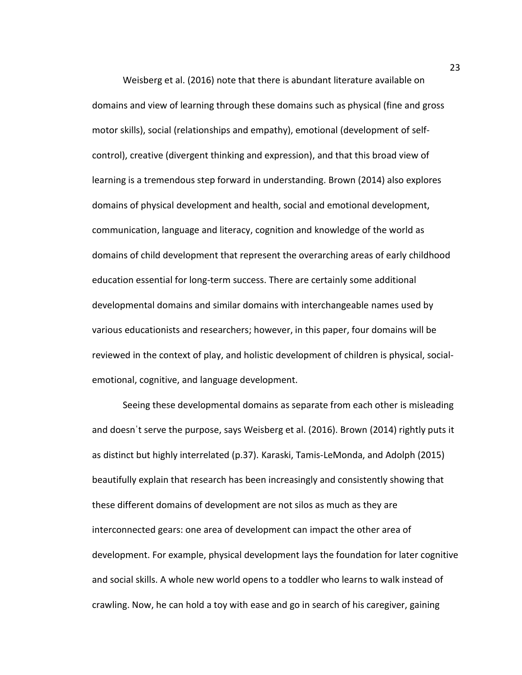Weisberg et al. (2016) note that there is abundant literature available on domains and view of learning through these domains such as physical (fine and gross motor skills), social (relationships and empathy), emotional (development of selfcontrol), creative (divergent thinking and expression), and that this broad view of learning is a tremendous step forward in understanding. Brown (2014) also explores domains of physical development and health, social and emotional development, communication, language and literacy, cognition and knowledge of the world as domains of child development that represent the overarching areas of early childhood education essential for long-term success. There are certainly some additional developmental domains and similar domains with interchangeable names used by various educationists and researchers; however, in this paper, four domains will be reviewed in the context of play, and holistic development of children is physical, socialemotional, cognitive, and language development.

Seeing these developmental domains as separate from each other is misleading and doesnˈt serve the purpose, says Weisberg et al. (2016). Brown (2014) rightly puts it as distinct but highly interrelated (p.37). Karaski, Tamis-LeMonda, and Adolph (2015) beautifully explain that research has been increasingly and consistently showing that these different domains of development are not silos as much as they are interconnected gears: one area of development can impact the other area of development. For example, physical development lays the foundation for later cognitive and social skills. A whole new world opens to a toddler who learns to walk instead of crawling. Now, he can hold a toy with ease and go in search of his caregiver, gaining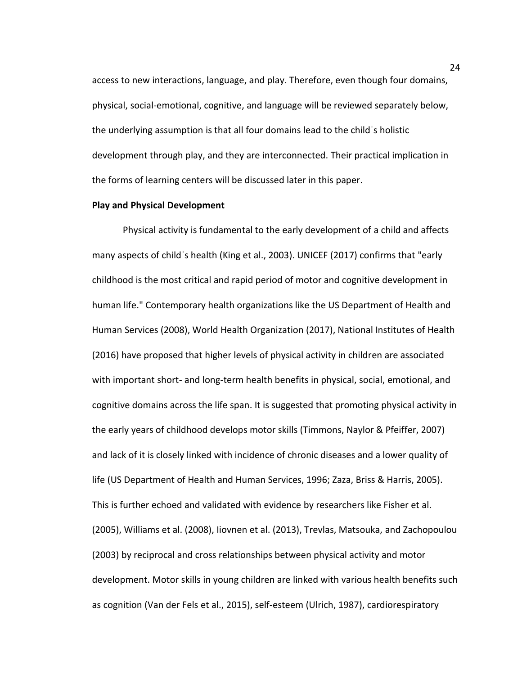access to new interactions, language, and play. Therefore, even though four domains, physical, social-emotional, cognitive, and language will be reviewed separately below, the underlying assumption is that all four domains lead to the childˈs holistic development through play, and they are interconnected. Their practical implication in the forms of learning centers will be discussed later in this paper.

#### **Play and Physical Development**

Physical activity is fundamental to the early development of a child and affects many aspects of childˈs health (King et al., 2003). UNICEF (2017) confirms that "early childhood is the most critical and rapid period of motor and cognitive development in human life." Contemporary health organizations like the US Department of Health and Human Services (2008), World Health Organization (2017), National Institutes of Health (2016) have proposed that higher levels of physical activity in children are associated with important short- and long-term health benefits in physical, social, emotional, and cognitive domains across the life span. It is suggested that promoting physical activity in the early years of childhood develops motor skills (Timmons, Naylor & Pfeiffer, 2007) and lack of it is closely linked with incidence of chronic diseases and a lower quality of life (US Department of Health and Human Services, 1996; Zaza, Briss & Harris, 2005). This is further echoed and validated with evidence by researchers like Fisher et al. (2005), Williams et al. (2008), Iiovnen et al. (2013), Trevlas, Matsouka, and Zachopoulou (2003) by reciprocal and cross relationships between physical activity and motor development. Motor skills in young children are linked with various health benefits such as cognition (Van der Fels et al., 2015), self-esteem (Ulrich, 1987), cardiorespiratory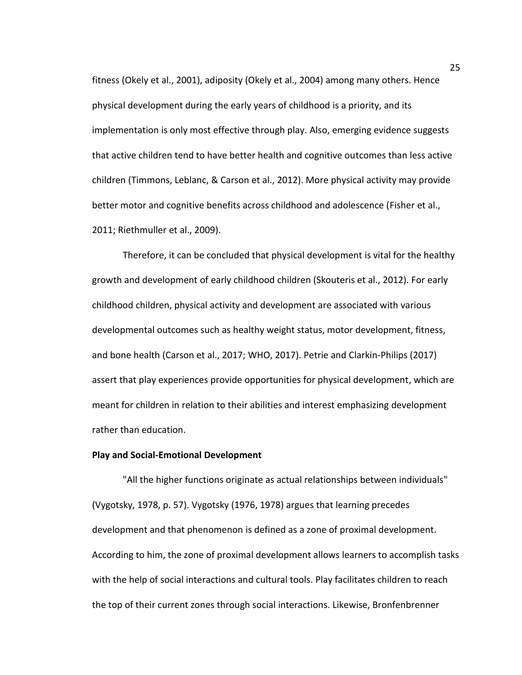fitness (Okely et al., 2001), adiposity (Okely et al., 2004) among many others. Hence physical development during the early years of childhood is a priority, and its implementation is only most effective through play. Also, emerging evidence suggests that active children tend to have better health and cognitive outcomes than less active children (Timmons, Leblanc, & Carson et al., 2012). More physical activity may provide better motor and cognitive benefits across childhood and adolescence (Fisher et al., 2011; Riethmuller et al., 2009).

Therefore, it can be concluded that physical development is vital for the healthy growth and development of early childhood children (Skouteris et al., 2012). For early childhood children, physical activity and development are associated with various developmental outcomes such as healthy weight status, motor development, fitness, and bone health (Carson et al., 2017; WHO, 2017). Petrie and Clarkin-Philips (2017) assert that play experiences provide opportunities for physical development, which are meant for children in relation to their abilities and interest emphasizing development rather than education.

### **Play and Social-Emotional Development**

"All the higher functions originate as actual relationships between individuals" (Vygotsky, 1978, p. 57). Vygotsky (1976, 1978) argues that learning precedes development and that phenomenon is defined as a zone of proximal development. According to him, the zone of proximal development allows learners to accomplish tasks with the help of social interactions and cultural tools. Play facilitates children to reach the top of their current zones through social interactions. Likewise, Bronfenbrenner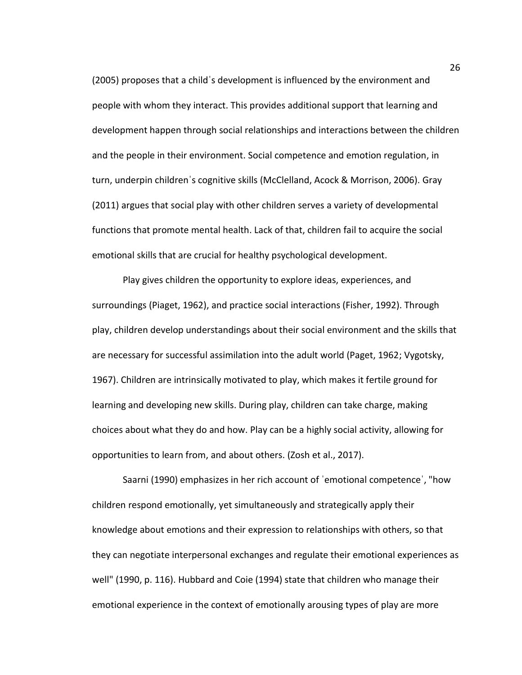(2005) proposes that a childˈs development is influenced by the environment and people with whom they interact. This provides additional support that learning and development happen through social relationships and interactions between the children and the people in their environment. Social competence and emotion regulation, in turn, underpin childrenˈs cognitive skills (McClelland, Acock & Morrison, 2006). Gray (2011) argues that social play with other children serves a variety of developmental functions that promote mental health. Lack of that, children fail to acquire the social emotional skills that are crucial for healthy psychological development.

Play gives children the opportunity to explore ideas, experiences, and surroundings (Piaget, 1962), and practice social interactions (Fisher, 1992). Through play, children develop understandings about their social environment and the skills that are necessary for successful assimilation into the adult world (Paget, 1962; Vygotsky, 1967). Children are intrinsically motivated to play, which makes it fertile ground for learning and developing new skills. During play, children can take charge, making choices about what they do and how. Play can be a highly social activity, allowing for opportunities to learn from, and about others. (Zosh et al., 2017).

Saarni (1990) emphasizes in her rich account of ˈemotional competenceˈ, "how children respond emotionally, yet simultaneously and strategically apply their knowledge about emotions and their expression to relationships with others, so that they can negotiate interpersonal exchanges and regulate their emotional experiences as well" (1990, p. 116). Hubbard and Coie (1994) state that children who manage their emotional experience in the context of emotionally arousing types of play are more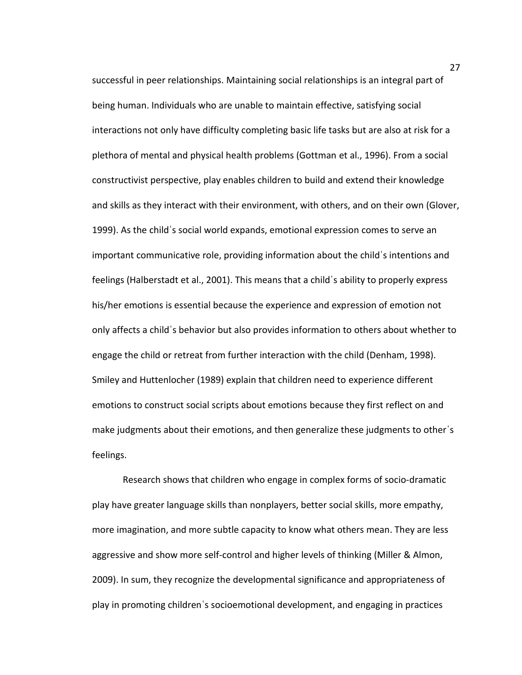successful in peer relationships. Maintaining social relationships is an integral part of being human. Individuals who are unable to maintain effective, satisfying social interactions not only have difficulty completing basic life tasks but are also at risk for a plethora of mental and physical health problems (Gottman et al., 1996). From a social constructivist perspective, play enables children to build and extend their knowledge and skills as they interact with their environment, with others, and on their own (Glover, 1999). As the childˈs social world expands, emotional expression comes to serve an important communicative role, providing information about the childˈs intentions and feelings (Halberstadt et al., 2001). This means that a childˈs ability to properly express his/her emotions is essential because the experience and expression of emotion not only affects a childˈs behavior but also provides information to others about whether to engage the child or retreat from further interaction with the child (Denham, 1998). Smiley and Huttenlocher (1989) explain that children need to experience different emotions to construct social scripts about emotions because they first reflect on and make judgments about their emotions, and then generalize these judgments to otherˈs feelings.

Research shows that children who engage in complex forms of socio-dramatic play have greater language skills than nonplayers, better social skills, more empathy, more imagination, and more subtle capacity to know what others mean. They are less aggressive and show more self-control and higher levels of thinking (Miller & Almon, 2009). In sum, they recognize the developmental significance and appropriateness of play in promoting childrenˈs socioemotional development, and engaging in practices

27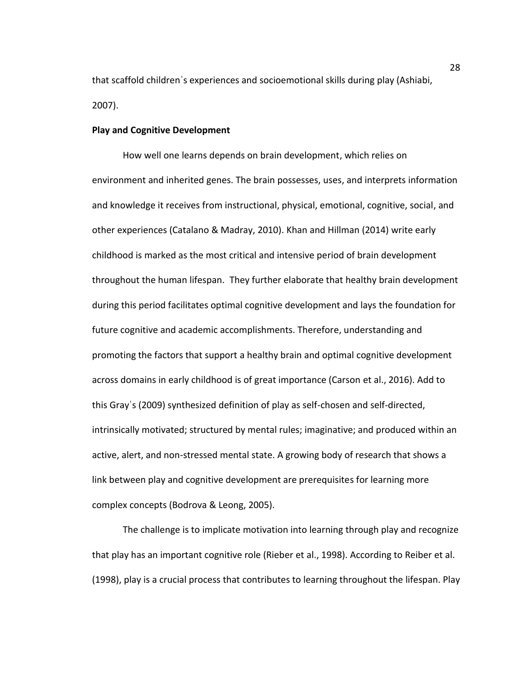that scaffold childrenˈs experiences and socioemotional skills during play (Ashiabi, 2007).

#### **Play and Cognitive Development**

How well one learns depends on brain development, which relies on environment and inherited genes. The brain possesses, uses, and interprets information and knowledge it receives from instructional, physical, emotional, cognitive, social, and other experiences (Catalano & Madray, 2010). Khan and Hillman (2014) write early childhood is marked as the most critical and intensive period of brain development throughout the human lifespan. They further elaborate that healthy brain development during this period facilitates optimal cognitive development and lays the foundation for future cognitive and academic accomplishments. Therefore, understanding and promoting the factors that support a healthy brain and optimal cognitive development across domains in early childhood is of great importance (Carson et al., 2016). Add to this Grayˈs (2009) synthesized definition of play as self-chosen and self-directed, intrinsically motivated; structured by mental rules; imaginative; and produced within an active, alert, and non-stressed mental state. A growing body of research that shows a link between play and cognitive development are prerequisites for learning more complex concepts (Bodrova & Leong, 2005).

The challenge is to implicate motivation into learning through play and recognize that play has an important cognitive role (Rieber et al., 1998). According to Reiber et al. (1998), play is a crucial process that contributes to learning throughout the lifespan. Play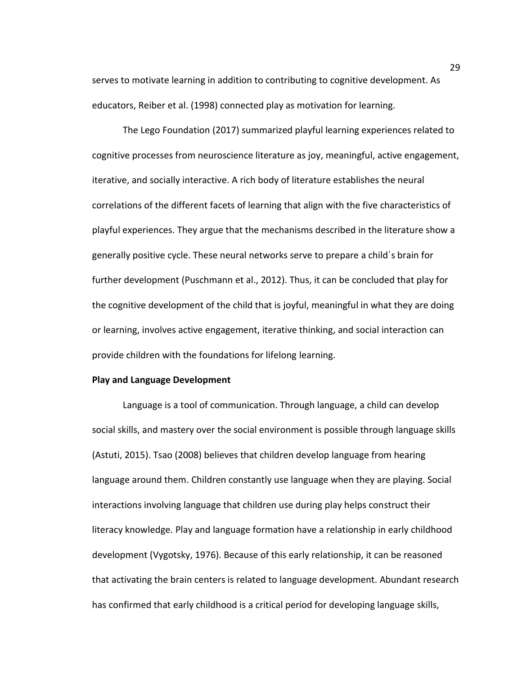serves to motivate learning in addition to contributing to cognitive development. As educators, Reiber et al. (1998) connected play as motivation for learning.

The Lego Foundation (2017) summarized playful learning experiences related to cognitive processes from neuroscience literature as joy, meaningful, active engagement, iterative, and socially interactive. A rich body of literature establishes the neural correlations of the different facets of learning that align with the five characteristics of playful experiences. They argue that the mechanisms described in the literature show a generally positive cycle. These neural networks serve to prepare a childˈs brain for further development (Puschmann et al., 2012). Thus, it can be concluded that play for the cognitive development of the child that is joyful, meaningful in what they are doing or learning, involves active engagement, iterative thinking, and social interaction can provide children with the foundations for lifelong learning.

#### **Play and Language Development**

Language is a tool of communication. Through language, a child can develop social skills, and mastery over the social environment is possible through language skills (Astuti, 2015). Tsao (2008) believes that children develop language from hearing language around them. Children constantly use language when they are playing. Social interactions involving language that children use during play helps construct their literacy knowledge. Play and language formation have a relationship in early childhood development (Vygotsky, 1976). Because of this early relationship, it can be reasoned that activating the brain centers is related to language development. Abundant research has confirmed that early childhood is a critical period for developing language skills,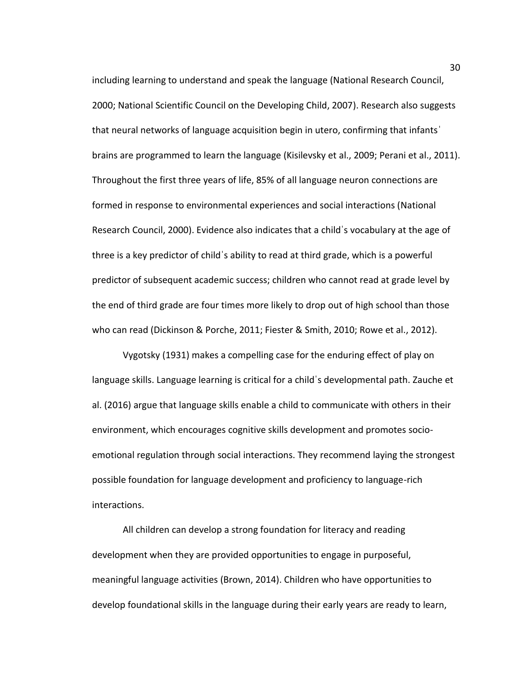including learning to understand and speak the language (National Research Council, 2000; National Scientific Council on the Developing Child, 2007). Research also suggests that neural networks of language acquisition begin in utero, confirming that infantsˈ brains are programmed to learn the language (Kisilevsky et al., 2009; Perani et al., 2011). Throughout the first three years of life, 85% of all language neuron connections are formed in response to environmental experiences and social interactions (National Research Council, 2000). Evidence also indicates that a childˈs vocabulary at the age of three is a key predictor of childˈs ability to read at third grade, which is a powerful predictor of subsequent academic success; children who cannot read at grade level by the end of third grade are four times more likely to drop out of high school than those who can read (Dickinson & Porche, 2011; Fiester & Smith, 2010; Rowe et al., 2012).

Vygotsky (1931) makes a compelling case for the enduring effect of play on language skills. Language learning is critical for a childˈs developmental path. Zauche et al. (2016) argue that language skills enable a child to communicate with others in their environment, which encourages cognitive skills development and promotes socioemotional regulation through social interactions. They recommend laying the strongest possible foundation for language development and proficiency to language-rich interactions.

All children can develop a strong foundation for literacy and reading development when they are provided opportunities to engage in purposeful, meaningful language activities (Brown, 2014). Children who have opportunities to develop foundational skills in the language during their early years are ready to learn,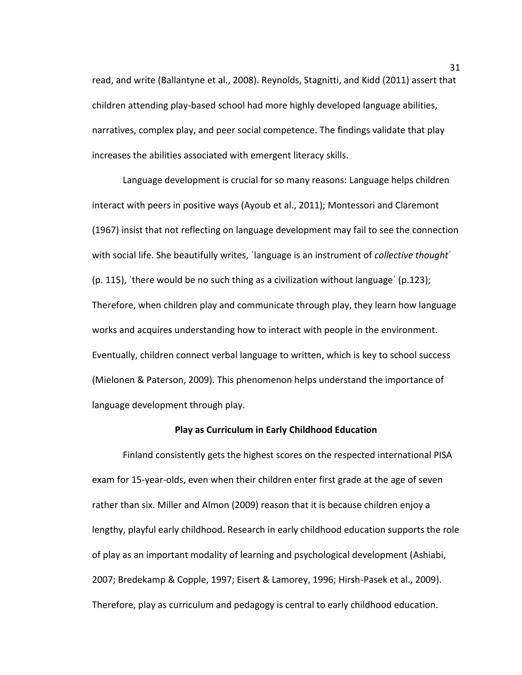read, and write (Ballantyne et al., 2008). Reynolds, Stagnitti, and Kidd (2011) assert that children attending play-based school had more highly developed language abilities, narratives, complex play, and peer social competence. The findings validate that play increases the abilities associated with emergent literacy skills.

Language development is crucial for so many reasons: Language helps children interact with peers in positive ways (Ayoub et al., 2011); Montessori and Claremont (1967) insist that not reflecting on language development may fail to see the connection with social life. She beautifully writes, ˈlanguage is an instrument of *collective thought*ˈ (p. 115), ˈthere would be no such thing as a civilization without languageˈ (p.123); Therefore, when children play and communicate through play, they learn how language works and acquires understanding how to interact with people in the environment. Eventually, children connect verbal language to written, which is key to school success (Mielonen & Paterson, 2009). This phenomenon helps understand the importance of language development through play.

#### **Play as Curriculum in Early Childhood Education**

Finland consistently gets the highest scores on the respected international PISA exam for 15-year-olds, even when their children enter first grade at the age of seven rather than six. Miller and Almon (2009) reason that it is because children enjoy a lengthy, playful early childhood. Research in early childhood education supports the role of play as an important modality of learning and psychological development (Ashiabi, 2007; Bredekamp & Copple, 1997; Eisert & Lamorey, 1996; Hirsh-Pasek et al., 2009). Therefore, play as curriculum and pedagogy is central to early childhood education.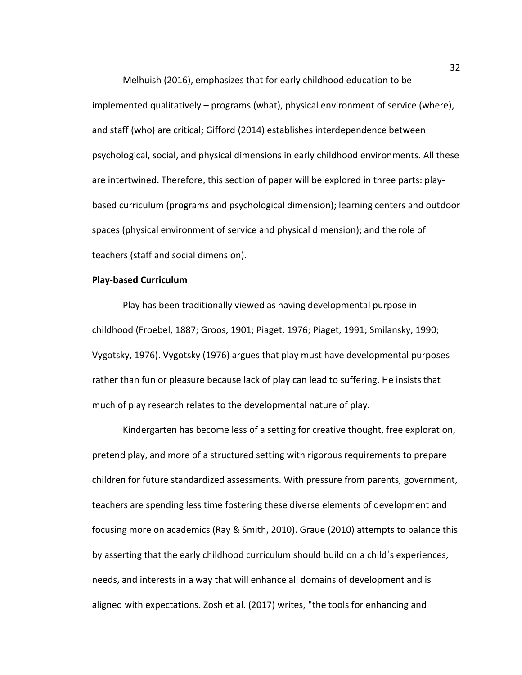Melhuish (2016), emphasizes that for early childhood education to be implemented qualitatively – programs (what), physical environment of service (where), and staff (who) are critical; Gifford (2014) establishes interdependence between psychological, social, and physical dimensions in early childhood environments. All these are intertwined. Therefore, this section of paper will be explored in three parts: playbased curriculum (programs and psychological dimension); learning centers and outdoor spaces (physical environment of service and physical dimension); and the role of teachers (staff and social dimension).

#### **Play-based Curriculum**

Play has been traditionally viewed as having developmental purpose in childhood (Froebel, 1887; Groos, 1901; Piaget, 1976; Piaget, 1991; Smilansky, 1990; Vygotsky, 1976). Vygotsky (1976) argues that play must have developmental purposes rather than fun or pleasure because lack of play can lead to suffering. He insists that much of play research relates to the developmental nature of play.

Kindergarten has become less of a setting for creative thought, free exploration, pretend play, and more of a structured setting with rigorous requirements to prepare children for future standardized assessments. With pressure from parents, government, teachers are spending less time fostering these diverse elements of development and focusing more on academics (Ray & Smith, 2010). Graue (2010) attempts to balance this by asserting that the early childhood curriculum should build on a childˈs experiences, needs, and interests in a way that will enhance all domains of development and is aligned with expectations. Zosh et al. (2017) writes, "the tools for enhancing and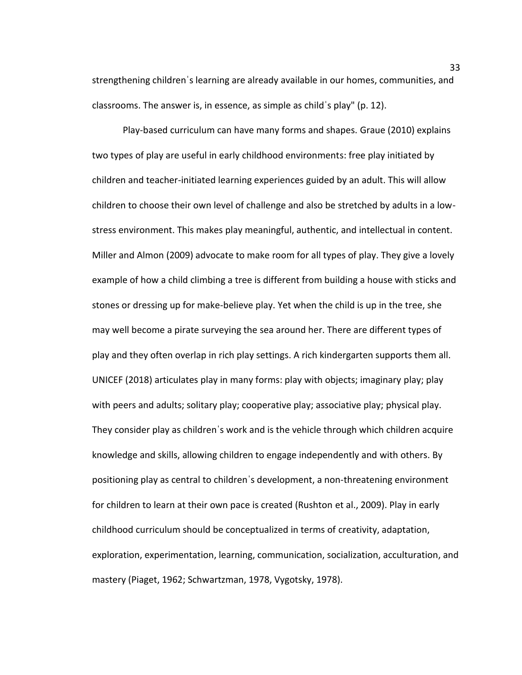strengthening childrenˈs learning are already available in our homes, communities, and classrooms. The answer is, in essence, as simple as childˈs play" (p. 12).

Play-based curriculum can have many forms and shapes. Graue (2010) explains two types of play are useful in early childhood environments: free play initiated by children and teacher-initiated learning experiences guided by an adult. This will allow children to choose their own level of challenge and also be stretched by adults in a lowstress environment. This makes play meaningful, authentic, and intellectual in content. Miller and Almon (2009) advocate to make room for all types of play. They give a lovely example of how a child climbing a tree is different from building a house with sticks and stones or dressing up for make-believe play. Yet when the child is up in the tree, she may well become a pirate surveying the sea around her. There are different types of play and they often overlap in rich play settings. A rich kindergarten supports them all. UNICEF (2018) articulates play in many forms: play with objects; imaginary play; play with peers and adults; solitary play; cooperative play; associative play; physical play. They consider play as childrenˈs work and is the vehicle through which children acquire knowledge and skills, allowing children to engage independently and with others. By positioning play as central to childrenˈs development, a non-threatening environment for children to learn at their own pace is created (Rushton et al., 2009). Play in early childhood curriculum should be conceptualized in terms of creativity, adaptation, exploration, experimentation, learning, communication, socialization, acculturation, and mastery (Piaget, 1962; Schwartzman, 1978, Vygotsky, 1978).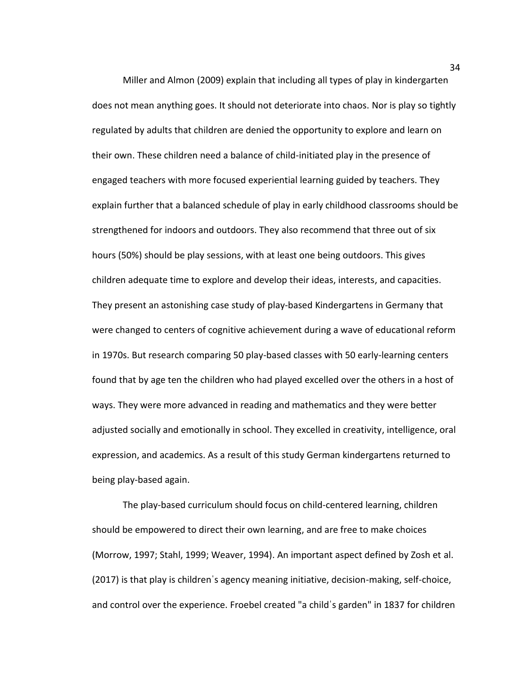Miller and Almon (2009) explain that including all types of play in kindergarten does not mean anything goes. It should not deteriorate into chaos. Nor is play so tightly regulated by adults that children are denied the opportunity to explore and learn on their own. These children need a balance of child-initiated play in the presence of engaged teachers with more focused experiential learning guided by teachers. They explain further that a balanced schedule of play in early childhood classrooms should be strengthened for indoors and outdoors. They also recommend that three out of six hours (50%) should be play sessions, with at least one being outdoors. This gives children adequate time to explore and develop their ideas, interests, and capacities. They present an astonishing case study of play-based Kindergartens in Germany that were changed to centers of cognitive achievement during a wave of educational reform in 1970s. But research comparing 50 play-based classes with 50 early-learning centers found that by age ten the children who had played excelled over the others in a host of ways. They were more advanced in reading and mathematics and they were better adjusted socially and emotionally in school. They excelled in creativity, intelligence, oral expression, and academics. As a result of this study German kindergartens returned to being play-based again.

The play-based curriculum should focus on child-centered learning, children should be empowered to direct their own learning, and are free to make choices (Morrow, 1997; Stahl, 1999; Weaver, 1994). An important aspect defined by Zosh et al. (2017) is that play is childrenˈs agency meaning initiative, decision-making, self-choice, and control over the experience. Froebel created "a childˈs garden" in 1837 for children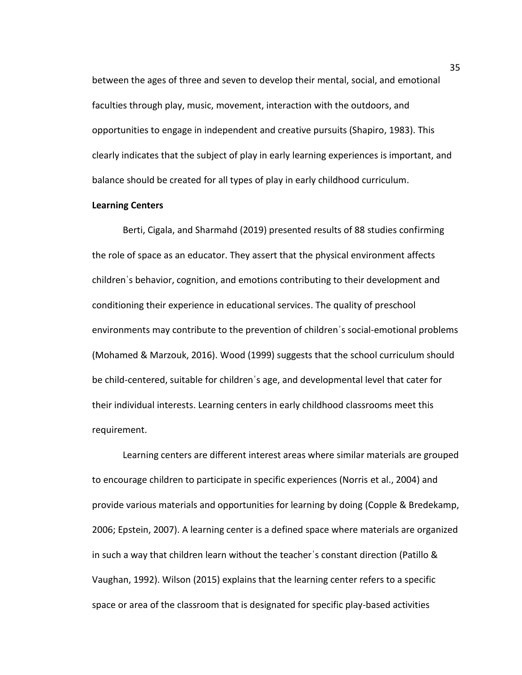between the ages of three and seven to develop their mental, social, and emotional faculties through play, music, movement, interaction with the outdoors, and opportunities to engage in independent and creative pursuits (Shapiro, 1983). This clearly indicates that the subject of play in early learning experiences is important, and balance should be created for all types of play in early childhood curriculum.

#### **Learning Centers**

Berti, Cigala, and Sharmahd (2019) presented results of 88 studies confirming the role of space as an educator. They assert that the physical environment affects childrenˈs behavior, cognition, and emotions contributing to their development and conditioning their experience in educational services. The quality of preschool environments may contribute to the prevention of childrenˈs social-emotional problems (Mohamed & Marzouk, 2016). Wood (1999) suggests that the school curriculum should be child-centered, suitable for childrenˈs age, and developmental level that cater for their individual interests. Learning centers in early childhood classrooms meet this requirement.

Learning centers are different interest areas where similar materials are grouped to encourage children to participate in specific experiences (Norris et al., 2004) and provide various materials and opportunities for learning by doing (Copple & Bredekamp, 2006; Epstein, 2007). A learning center is a defined space where materials are organized in such a way that children learn without the teacherˈs constant direction (Patillo & Vaughan, 1992). Wilson (2015) explains that the learning center refers to a specific space or area of the classroom that is designated for specific play-based activities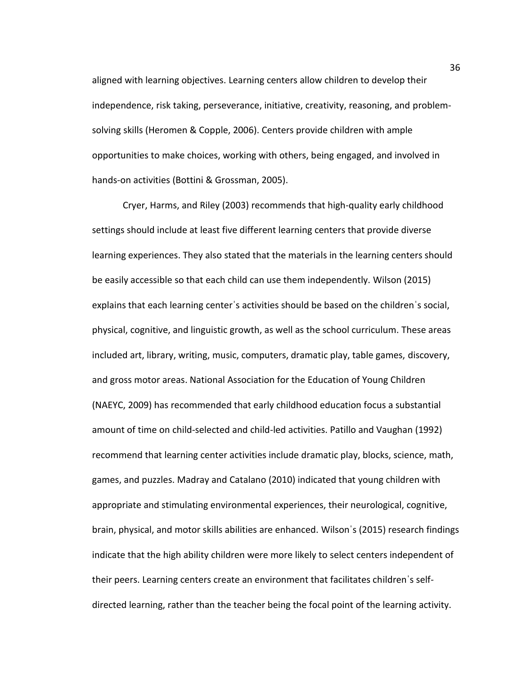aligned with learning objectives. Learning centers allow children to develop their independence, risk taking, perseverance, initiative, creativity, reasoning, and problemsolving skills (Heromen & Copple, 2006). Centers provide children with ample opportunities to make choices, working with others, being engaged, and involved in hands-on activities (Bottini & Grossman, 2005).

Cryer, Harms, and Riley (2003) recommends that high-quality early childhood settings should include at least five different learning centers that provide diverse learning experiences. They also stated that the materials in the learning centers should be easily accessible so that each child can use them independently. Wilson (2015) explains that each learning centerˈs activities should be based on the childrenˈs social, physical, cognitive, and linguistic growth, as well as the school curriculum. These areas included art, library, writing, music, computers, dramatic play, table games, discovery, and gross motor areas. National Association for the Education of Young Children (NAEYC, 2009) has recommended that early childhood education focus a substantial amount of time on child-selected and child-led activities. Patillo and Vaughan (1992) recommend that learning center activities include dramatic play, blocks, science, math, games, and puzzles. Madray and Catalano (2010) indicated that young children with appropriate and stimulating environmental experiences, their neurological, cognitive, brain, physical, and motor skills abilities are enhanced. Wilsonˈs (2015) research findings indicate that the high ability children were more likely to select centers independent of their peers. Learning centers create an environment that facilitates childrenˈs selfdirected learning, rather than the teacher being the focal point of the learning activity.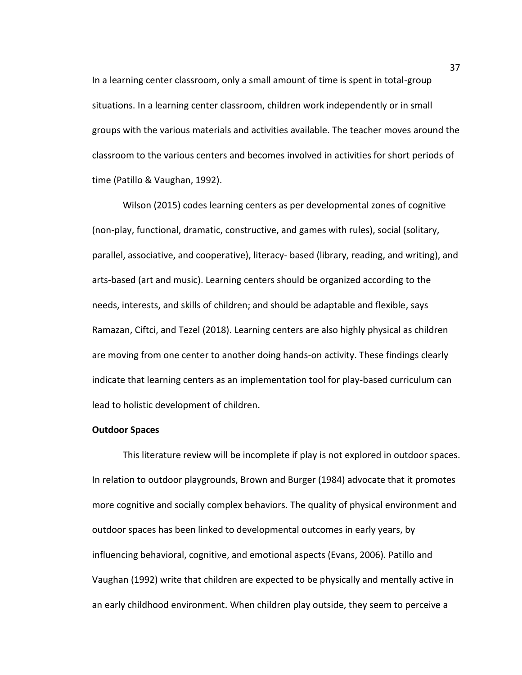In a learning center classroom, only a small amount of time is spent in total-group situations. In a learning center classroom, children work independently or in small groups with the various materials and activities available. The teacher moves around the classroom to the various centers and becomes involved in activities for short periods of time (Patillo & Vaughan, 1992).

Wilson (2015) codes learning centers as per developmental zones of cognitive (non-play, functional, dramatic, constructive, and games with rules), social (solitary, parallel, associative, and cooperative), literacy- based (library, reading, and writing), and arts-based (art and music). Learning centers should be organized according to the needs, interests, and skills of children; and should be adaptable and flexible, says Ramazan, Ciftci, and Tezel (2018). Learning centers are also highly physical as children are moving from one center to another doing hands-on activity. These findings clearly indicate that learning centers as an implementation tool for play-based curriculum can lead to holistic development of children.

### **Outdoor Spaces**

This literature review will be incomplete if play is not explored in outdoor spaces. In relation to outdoor playgrounds, Brown and Burger (1984) advocate that it promotes more cognitive and socially complex behaviors. The quality of physical environment and outdoor spaces has been linked to developmental outcomes in early years, by influencing behavioral, cognitive, and emotional aspects (Evans, 2006). Patillo and Vaughan (1992) write that children are expected to be physically and mentally active in an early childhood environment. When children play outside, they seem to perceive a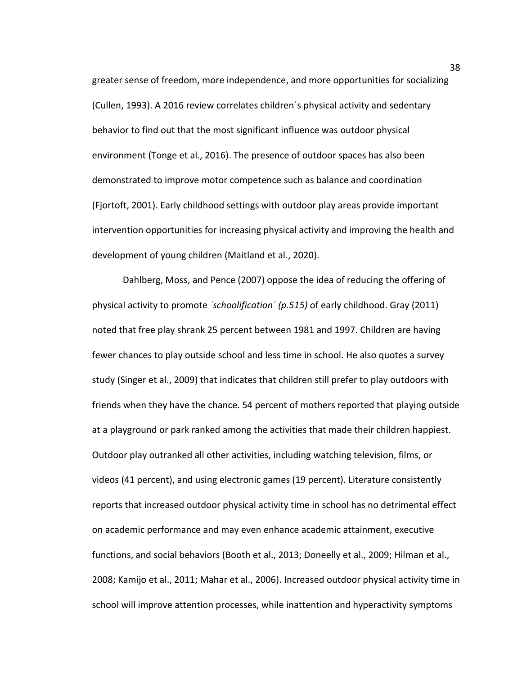greater sense of freedom, more independence, and more opportunities for socializing (Cullen, 1993). A 2016 review correlates childrenˈs physical activity and sedentary behavior to find out that the most significant influence was outdoor physical environment (Tonge et al., 2016). The presence of outdoor spaces has also been demonstrated to improve motor competence such as balance and coordination (Fjortoft, 2001). Early childhood settings with outdoor play areas provide important intervention opportunities for increasing physical activity and improving the health and development of young children (Maitland et al., 2020).

Dahlberg, Moss, and Pence (2007) oppose the idea of reducing the offering of physical activity to promote *ˈschoolificationˈ (p.515)* of early childhood. Gray (2011) noted that free play shrank 25 percent between 1981 and 1997. Children are having fewer chances to play outside school and less time in school. He also quotes a survey study (Singer et al., 2009) that indicates that children still prefer to play outdoors with friends when they have the chance. 54 percent of mothers reported that playing outside at a playground or park ranked among the activities that made their children happiest. Outdoor play outranked all other activities, including watching television, films, or videos (41 percent), and using electronic games (19 percent). Literature consistently reports that increased outdoor physical activity time in school has no detrimental effect on academic performance and may even enhance academic attainment, executive functions, and social behaviors (Booth et al., 2013; Doneelly et al., 2009; Hilman et al., 2008; Kamijo et al., 2011; Mahar et al., 2006). Increased outdoor physical activity time in school will improve attention processes, while inattention and hyperactivity symptoms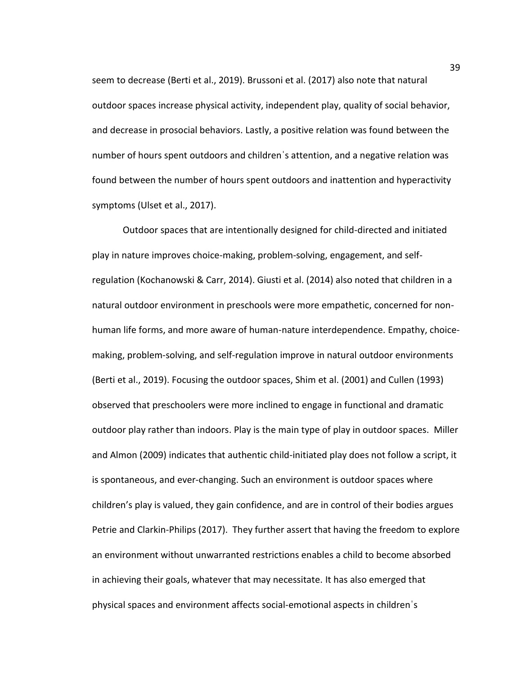seem to decrease (Berti et al., 2019). Brussoni et al. (2017) also note that natural outdoor spaces increase physical activity, independent play, quality of social behavior, and decrease in prosocial behaviors. Lastly, a positive relation was found between the number of hours spent outdoors and childrenˈs attention, and a negative relation was found between the number of hours spent outdoors and inattention and hyperactivity symptoms (Ulset et al., 2017).

Outdoor spaces that are intentionally designed for child-directed and initiated play in nature improves choice-making, problem-solving, engagement, and selfregulation (Kochanowski & Carr, 2014). Giusti et al. (2014) also noted that children in a natural outdoor environment in preschools were more empathetic, concerned for nonhuman life forms, and more aware of human-nature interdependence. Empathy, choicemaking, problem-solving, and self-regulation improve in natural outdoor environments (Berti et al., 2019). Focusing the outdoor spaces, Shim et al. (2001) and Cullen (1993) observed that preschoolers were more inclined to engage in functional and dramatic outdoor play rather than indoors. Play is the main type of play in outdoor spaces. Miller and Almon (2009) indicates that authentic child-initiated play does not follow a script, it is spontaneous, and ever-changing. Such an environment is outdoor spaces where children's play is valued, they gain confidence, and are in control of their bodies argues Petrie and Clarkin-Philips (2017). They further assert that having the freedom to explore an environment without unwarranted restrictions enables a child to become absorbed in achieving their goals, whatever that may necessitate. It has also emerged that physical spaces and environment affects social-emotional aspects in childrenˈs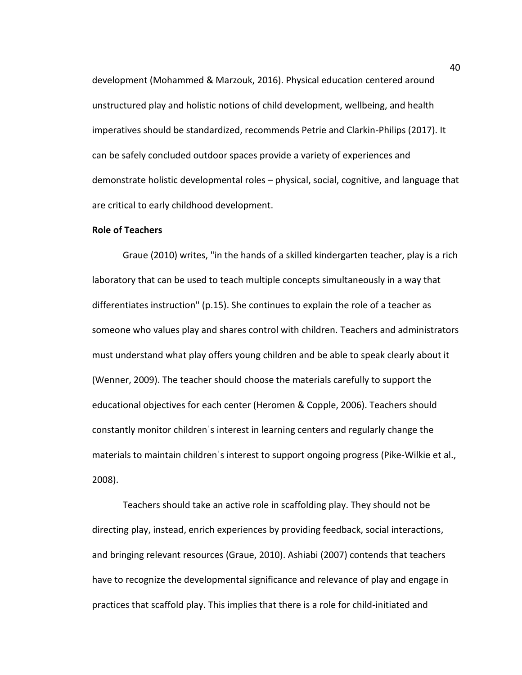development (Mohammed & Marzouk, 2016). Physical education centered around unstructured play and holistic notions of child development, wellbeing, and health imperatives should be standardized, recommends Petrie and Clarkin-Philips (2017). It can be safely concluded outdoor spaces provide a variety of experiences and demonstrate holistic developmental roles – physical, social, cognitive, and language that are critical to early childhood development.

## **Role of Teachers**

Graue (2010) writes, "in the hands of a skilled kindergarten teacher, play is a rich laboratory that can be used to teach multiple concepts simultaneously in a way that differentiates instruction" (p.15). She continues to explain the role of a teacher as someone who values play and shares control with children. Teachers and administrators must understand what play offers young children and be able to speak clearly about it (Wenner, 2009). The teacher should choose the materials carefully to support the educational objectives for each center (Heromen & Copple, 2006). Teachers should constantly monitor childrenˈs interest in learning centers and regularly change the materials to maintain children s interest to support ongoing progress (Pike-Wilkie et al., 2008).

Teachers should take an active role in scaffolding play. They should not be directing play, instead, enrich experiences by providing feedback, social interactions, and bringing relevant resources (Graue, 2010). Ashiabi (2007) contends that teachers have to recognize the developmental significance and relevance of play and engage in practices that scaffold play. This implies that there is a role for child-initiated and

40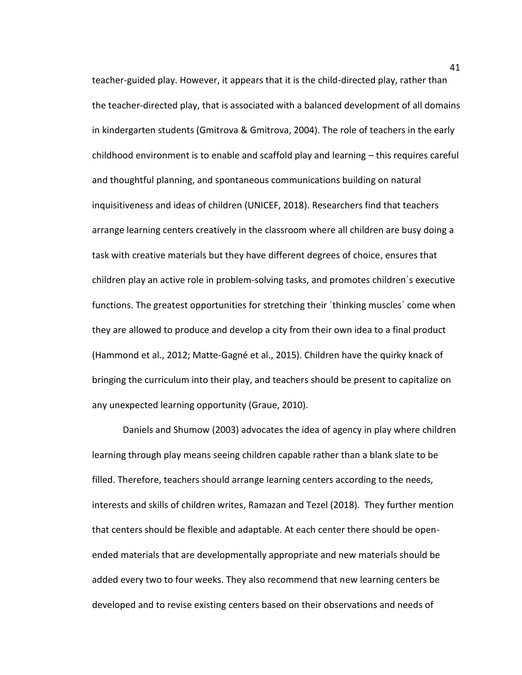teacher-guided play. However, it appears that it is the child-directed play, rather than the teacher-directed play, that is associated with a balanced development of all domains in kindergarten students (Gmitrova & Gmitrova, 2004). The role of teachers in the early childhood environment is to enable and scaffold play and learning – this requires careful and thoughtful planning, and spontaneous communications building on natural inquisitiveness and ideas of children (UNICEF, 2018). Researchers find that teachers arrange learning centers creatively in the classroom where all children are busy doing a task with creative materials but they have different degrees of choice, ensures that children play an active role in problem-solving tasks, and promotes childrenˈs executive functions. The greatest opportunities for stretching their ˈthinking musclesˈ come when they are allowed to produce and develop a city from their own idea to a final product (Hammond et al., 2012; Matte-Gagné et al., 2015). Children have the quirky knack of bringing the curriculum into their play, and teachers should be present to capitalize on any unexpected learning opportunity (Graue, 2010).

Daniels and Shumow (2003) advocates the idea of agency in play where children learning through play means seeing children capable rather than a blank slate to be filled. Therefore, teachers should arrange learning centers according to the needs, interests and skills of children writes, Ramazan and Tezel (2018). They further mention that centers should be flexible and adaptable. At each center there should be openended materials that are developmentally appropriate and new materials should be added every two to four weeks. They also recommend that new learning centers be developed and to revise existing centers based on their observations and needs of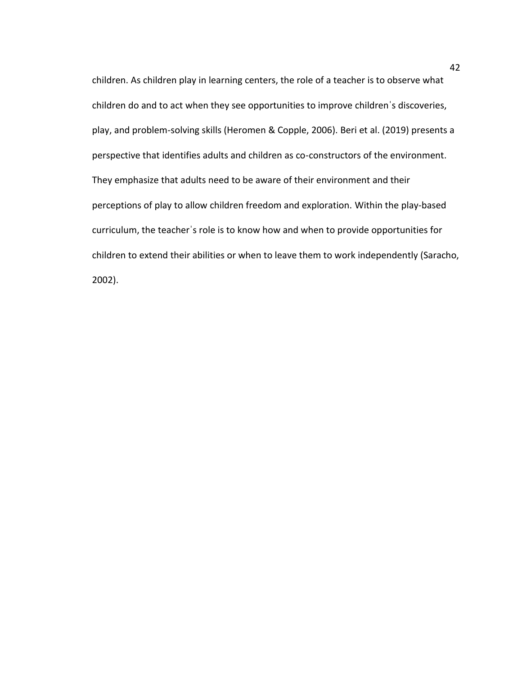children. As children play in learning centers, the role of a teacher is to observe what children do and to act when they see opportunities to improve childrenˈs discoveries, play, and problem-solving skills (Heromen & Copple, 2006). Beri et al. (2019) presents a perspective that identifies adults and children as co-constructors of the environment. They emphasize that adults need to be aware of their environment and their perceptions of play to allow children freedom and exploration. Within the play-based curriculum, the teacherˈs role is to know how and when to provide opportunities for children to extend their abilities or when to leave them to work independently (Saracho, 2002).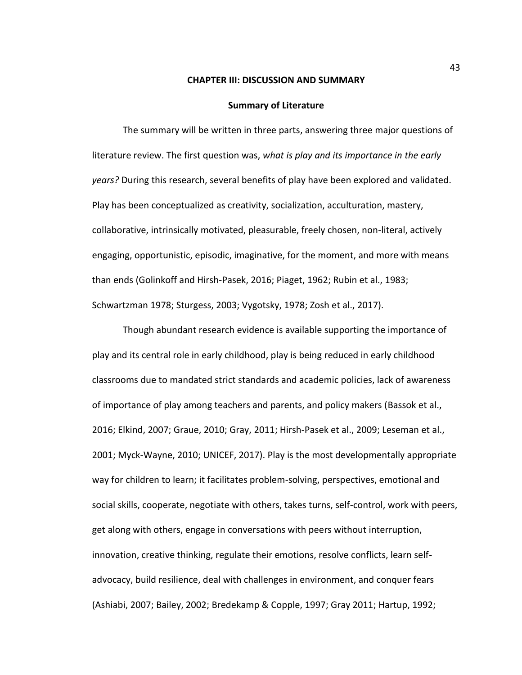### **CHAPTER III: DISCUSSION AND SUMMARY**

#### **Summary of Literature**

The summary will be written in three parts, answering three major questions of literature review. The first question was, *what is play and its importance in the early years?* During this research, several benefits of play have been explored and validated. Play has been conceptualized as creativity, socialization, acculturation, mastery, collaborative, intrinsically motivated, pleasurable, freely chosen, non-literal, actively engaging, opportunistic, episodic, imaginative, for the moment, and more with means than ends (Golinkoff and Hirsh-Pasek, 2016; Piaget, 1962; Rubin et al., 1983; Schwartzman 1978; Sturgess, 2003; Vygotsky, 1978; Zosh et al., 2017).

Though abundant research evidence is available supporting the importance of play and its central role in early childhood, play is being reduced in early childhood classrooms due to mandated strict standards and academic policies, lack of awareness of importance of play among teachers and parents, and policy makers (Bassok et al., 2016; Elkind, 2007; Graue, 2010; Gray, 2011; Hirsh-Pasek et al., 2009; Leseman et al., 2001; Myck-Wayne, 2010; UNICEF, 2017). Play is the most developmentally appropriate way for children to learn; it facilitates problem-solving, perspectives, emotional and social skills, cooperate, negotiate with others, takes turns, self-control, work with peers, get along with others, engage in conversations with peers without interruption, innovation, creative thinking, regulate their emotions, resolve conflicts, learn selfadvocacy, build resilience, deal with challenges in environment, and conquer fears (Ashiabi, 2007; Bailey, 2002; Bredekamp & Copple, 1997; Gray 2011; Hartup, 1992;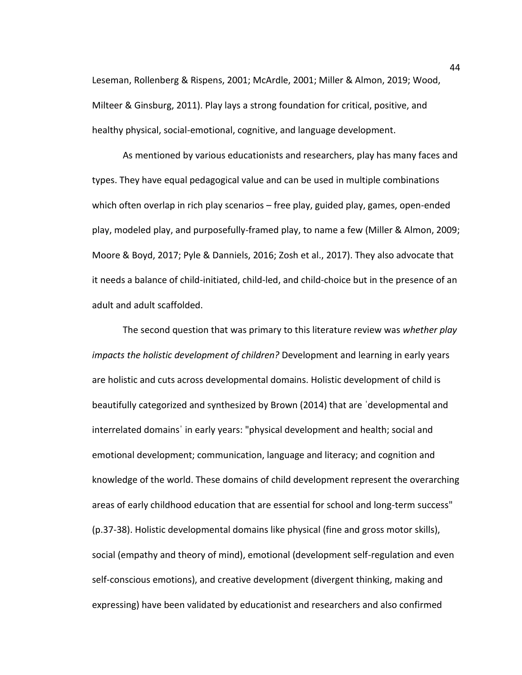Leseman, Rollenberg & Rispens, 2001; McArdle, 2001; Miller & Almon, 2019; Wood, Milteer & Ginsburg, 2011). Play lays a strong foundation for critical, positive, and healthy physical, social-emotional, cognitive, and language development.

As mentioned by various educationists and researchers, play has many faces and types. They have equal pedagogical value and can be used in multiple combinations which often overlap in rich play scenarios – free play, guided play, games, open-ended play, modeled play, and purposefully-framed play, to name a few (Miller & Almon, 2009; Moore & Boyd, 2017; Pyle & Danniels, 2016; Zosh et al., 2017). They also advocate that it needs a balance of child-initiated, child-led, and child-choice but in the presence of an adult and adult scaffolded.

The second question that was primary to this literature review was *whether play impacts the holistic development of children?* Development and learning in early years are holistic and cuts across developmental domains. Holistic development of child is beautifully categorized and synthesized by Brown (2014) that are ˈdevelopmental and interrelated domainsˈ in early years: "physical development and health; social and emotional development; communication, language and literacy; and cognition and knowledge of the world. These domains of child development represent the overarching areas of early childhood education that are essential for school and long-term success" (p.37-38). Holistic developmental domains like physical (fine and gross motor skills), social (empathy and theory of mind), emotional (development self-regulation and even self-conscious emotions), and creative development (divergent thinking, making and expressing) have been validated by educationist and researchers and also confirmed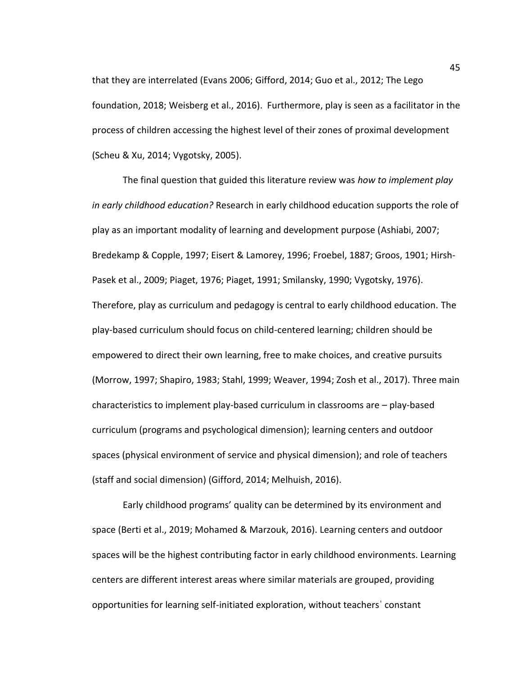that they are interrelated (Evans 2006; Gifford, 2014; Guo et al., 2012; The Lego foundation, 2018; Weisberg et al., 2016). Furthermore, play is seen as a facilitator in the process of children accessing the highest level of their zones of proximal development (Scheu & Xu, 2014; Vygotsky, 2005).

The final question that guided this literature review was *how to implement play in early childhood education?* Research in early childhood education supports the role of play as an important modality of learning and development purpose (Ashiabi, 2007; Bredekamp & Copple, 1997; Eisert & Lamorey, 1996; Froebel, 1887; Groos, 1901; Hirsh-Pasek et al., 2009; Piaget, 1976; Piaget, 1991; Smilansky, 1990; Vygotsky, 1976). Therefore, play as curriculum and pedagogy is central to early childhood education. The play-based curriculum should focus on child-centered learning; children should be empowered to direct their own learning, free to make choices, and creative pursuits (Morrow, 1997; Shapiro, 1983; Stahl, 1999; Weaver, 1994; Zosh et al., 2017). Three main characteristics to implement play-based curriculum in classrooms are – play-based curriculum (programs and psychological dimension); learning centers and outdoor spaces (physical environment of service and physical dimension); and role of teachers (staff and social dimension) (Gifford, 2014; Melhuish, 2016).

Early childhood programs' quality can be determined by its environment and space (Berti et al., 2019; Mohamed & Marzouk, 2016). Learning centers and outdoor spaces will be the highest contributing factor in early childhood environments. Learning centers are different interest areas where similar materials are grouped, providing opportunities for learning self-initiated exploration, without teachersˈ constant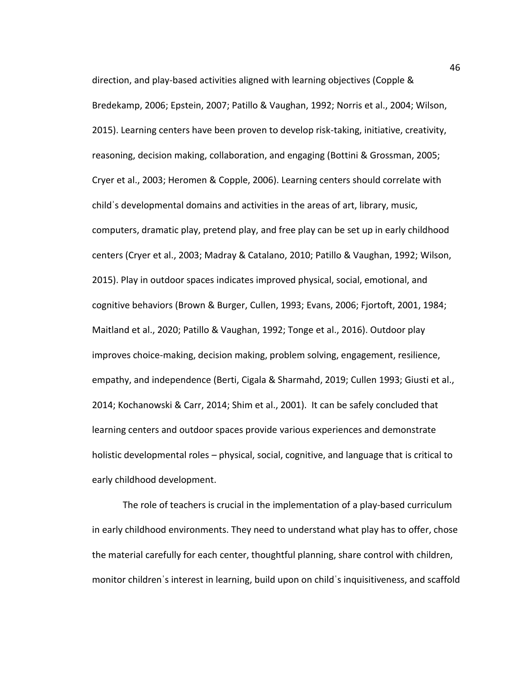direction, and play-based activities aligned with learning objectives (Copple & Bredekamp, 2006; Epstein, 2007; Patillo & Vaughan, 1992; Norris et al., 2004; Wilson, 2015). Learning centers have been proven to develop risk-taking, initiative, creativity, reasoning, decision making, collaboration, and engaging (Bottini & Grossman, 2005; Cryer et al., 2003; Heromen & Copple, 2006). Learning centers should correlate with childˈs developmental domains and activities in the areas of art, library, music, computers, dramatic play, pretend play, and free play can be set up in early childhood centers (Cryer et al., 2003; Madray & Catalano, 2010; Patillo & Vaughan, 1992; Wilson, 2015). Play in outdoor spaces indicates improved physical, social, emotional, and cognitive behaviors (Brown & Burger, Cullen, 1993; Evans, 2006; Fjortoft, 2001, 1984; Maitland et al., 2020; Patillo & Vaughan, 1992; Tonge et al., 2016). Outdoor play improves choice-making, decision making, problem solving, engagement, resilience, empathy, and independence (Berti, Cigala & Sharmahd, 2019; Cullen 1993; Giusti et al., 2014; Kochanowski & Carr, 2014; Shim et al., 2001). It can be safely concluded that learning centers and outdoor spaces provide various experiences and demonstrate holistic developmental roles – physical, social, cognitive, and language that is critical to early childhood development.

The role of teachers is crucial in the implementation of a play-based curriculum in early childhood environments. They need to understand what play has to offer, chose the material carefully for each center, thoughtful planning, share control with children, monitor childrenˈs interest in learning, build upon on childˈs inquisitiveness, and scaffold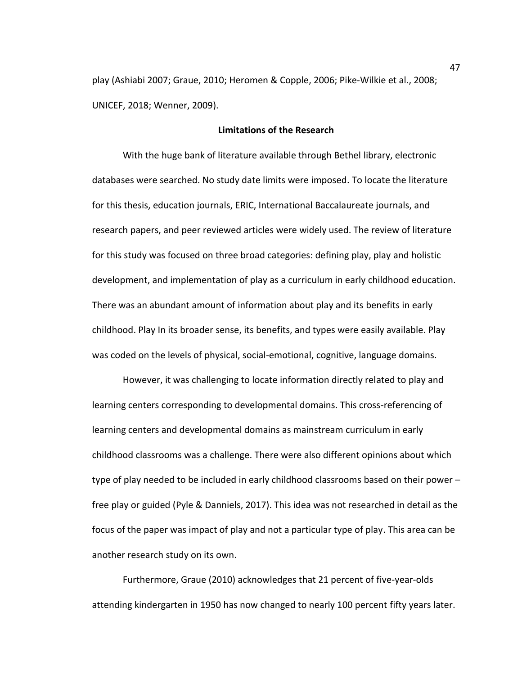play (Ashiabi 2007; Graue, 2010; Heromen & Copple, 2006; Pike-Wilkie et al., 2008; UNICEF, 2018; Wenner, 2009).

## **Limitations of the Research**

With the huge bank of literature available through Bethel library, electronic databases were searched. No study date limits were imposed. To locate the literature for this thesis, education journals, ERIC, International Baccalaureate journals, and research papers, and peer reviewed articles were widely used. The review of literature for this study was focused on three broad categories: defining play, play and holistic development, and implementation of play as a curriculum in early childhood education. There was an abundant amount of information about play and its benefits in early childhood. Play In its broader sense, its benefits, and types were easily available. Play was coded on the levels of physical, social-emotional, cognitive, language domains.

However, it was challenging to locate information directly related to play and learning centers corresponding to developmental domains. This cross-referencing of learning centers and developmental domains as mainstream curriculum in early childhood classrooms was a challenge. There were also different opinions about which type of play needed to be included in early childhood classrooms based on their power – free play or guided (Pyle & Danniels, 2017). This idea was not researched in detail as the focus of the paper was impact of play and not a particular type of play. This area can be another research study on its own.

Furthermore, Graue (2010) acknowledges that 21 percent of five-year-olds attending kindergarten in 1950 has now changed to nearly 100 percent fifty years later.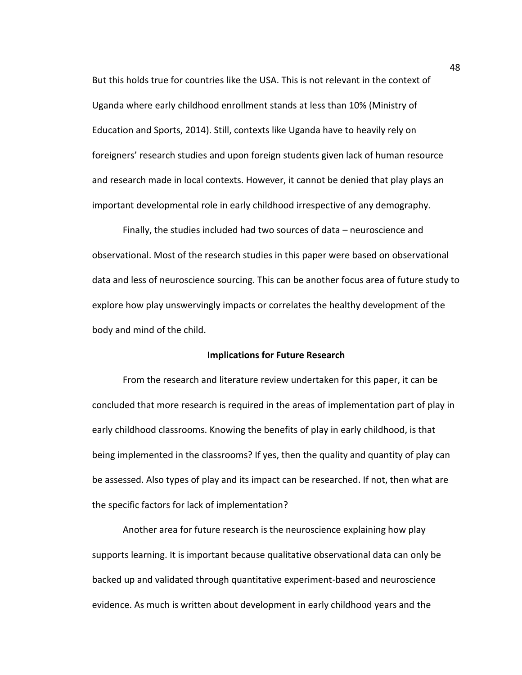But this holds true for countries like the USA. This is not relevant in the context of Uganda where early childhood enrollment stands at less than 10% (Ministry of Education and Sports, 2014). Still, contexts like Uganda have to heavily rely on foreigners' research studies and upon foreign students given lack of human resource and research made in local contexts. However, it cannot be denied that play plays an important developmental role in early childhood irrespective of any demography.

Finally, the studies included had two sources of data – neuroscience and observational. Most of the research studies in this paper were based on observational data and less of neuroscience sourcing. This can be another focus area of future study to explore how play unswervingly impacts or correlates the healthy development of the body and mind of the child.

### **Implications for Future Research**

From the research and literature review undertaken for this paper, it can be concluded that more research is required in the areas of implementation part of play in early childhood classrooms. Knowing the benefits of play in early childhood, is that being implemented in the classrooms? If yes, then the quality and quantity of play can be assessed. Also types of play and its impact can be researched. If not, then what are the specific factors for lack of implementation?

Another area for future research is the neuroscience explaining how play supports learning. It is important because qualitative observational data can only be backed up and validated through quantitative experiment-based and neuroscience evidence. As much is written about development in early childhood years and the

48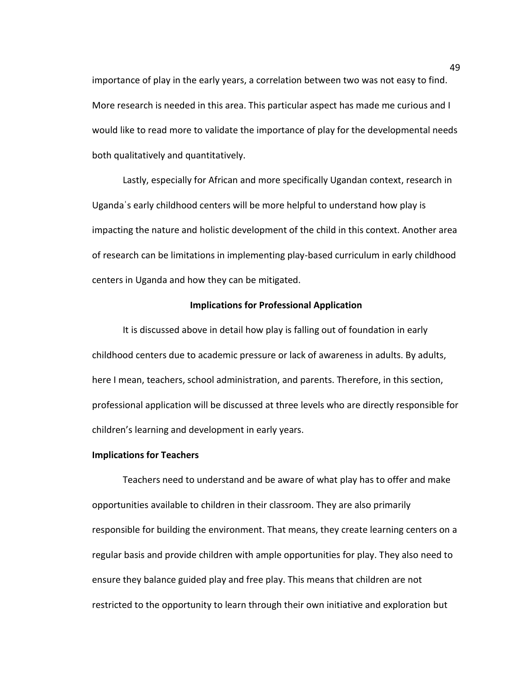importance of play in the early years, a correlation between two was not easy to find. More research is needed in this area. This particular aspect has made me curious and I would like to read more to validate the importance of play for the developmental needs both qualitatively and quantitatively.

Lastly, especially for African and more specifically Ugandan context, research in Ugandaˈs early childhood centers will be more helpful to understand how play is impacting the nature and holistic development of the child in this context. Another area of research can be limitations in implementing play-based curriculum in early childhood centers in Uganda and how they can be mitigated.

# **Implications for Professional Application**

It is discussed above in detail how play is falling out of foundation in early childhood centers due to academic pressure or lack of awareness in adults. By adults, here I mean, teachers, school administration, and parents. Therefore, in this section, professional application will be discussed at three levels who are directly responsible for children's learning and development in early years.

# **Implications for Teachers**

Teachers need to understand and be aware of what play has to offer and make opportunities available to children in their classroom. They are also primarily responsible for building the environment. That means, they create learning centers on a regular basis and provide children with ample opportunities for play. They also need to ensure they balance guided play and free play. This means that children are not restricted to the opportunity to learn through their own initiative and exploration but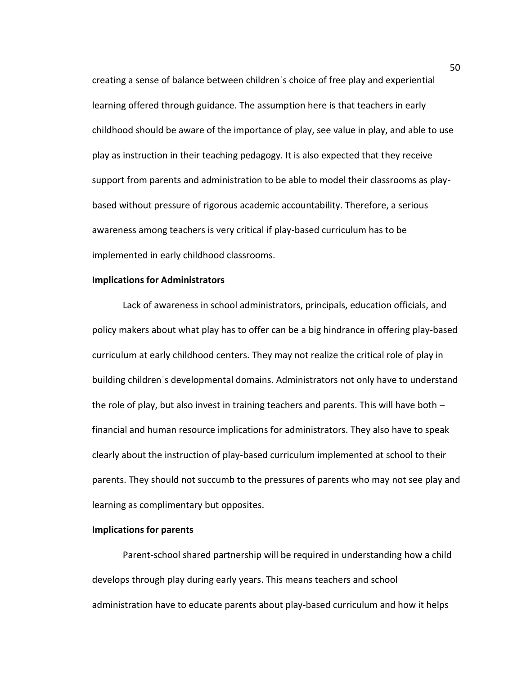creating a sense of balance between childrenˈs choice of free play and experiential learning offered through guidance. The assumption here is that teachers in early childhood should be aware of the importance of play, see value in play, and able to use play as instruction in their teaching pedagogy. It is also expected that they receive support from parents and administration to be able to model their classrooms as playbased without pressure of rigorous academic accountability. Therefore, a serious awareness among teachers is very critical if play-based curriculum has to be implemented in early childhood classrooms.

## **Implications for Administrators**

Lack of awareness in school administrators, principals, education officials, and policy makers about what play has to offer can be a big hindrance in offering play-based curriculum at early childhood centers. They may not realize the critical role of play in building childrenˈs developmental domains. Administrators not only have to understand the role of play, but also invest in training teachers and parents. This will have both – financial and human resource implications for administrators. They also have to speak clearly about the instruction of play-based curriculum implemented at school to their parents. They should not succumb to the pressures of parents who may not see play and learning as complimentary but opposites.

## **Implications for parents**

Parent-school shared partnership will be required in understanding how a child develops through play during early years. This means teachers and school administration have to educate parents about play-based curriculum and how it helps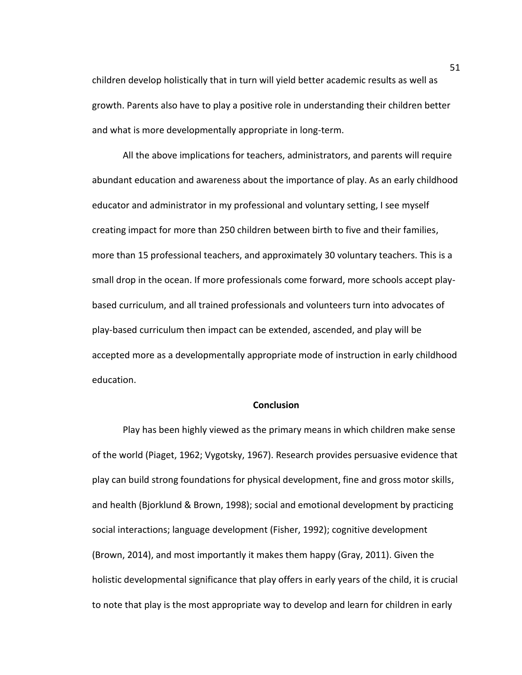children develop holistically that in turn will yield better academic results as well as growth. Parents also have to play a positive role in understanding their children better and what is more developmentally appropriate in long-term.

All the above implications for teachers, administrators, and parents will require abundant education and awareness about the importance of play. As an early childhood educator and administrator in my professional and voluntary setting, I see myself creating impact for more than 250 children between birth to five and their families, more than 15 professional teachers, and approximately 30 voluntary teachers. This is a small drop in the ocean. If more professionals come forward, more schools accept playbased curriculum, and all trained professionals and volunteers turn into advocates of play-based curriculum then impact can be extended, ascended, and play will be accepted more as a developmentally appropriate mode of instruction in early childhood education.

## **Conclusion**

Play has been highly viewed as the primary means in which children make sense of the world (Piaget, 1962; Vygotsky, 1967). Research provides persuasive evidence that play can build strong foundations for physical development, fine and gross motor skills, and health (Bjorklund & Brown, 1998); social and emotional development by practicing social interactions; language development (Fisher, 1992); cognitive development (Brown, 2014), and most importantly it makes them happy (Gray, 2011). Given the holistic developmental significance that play offers in early years of the child, it is crucial to note that play is the most appropriate way to develop and learn for children in early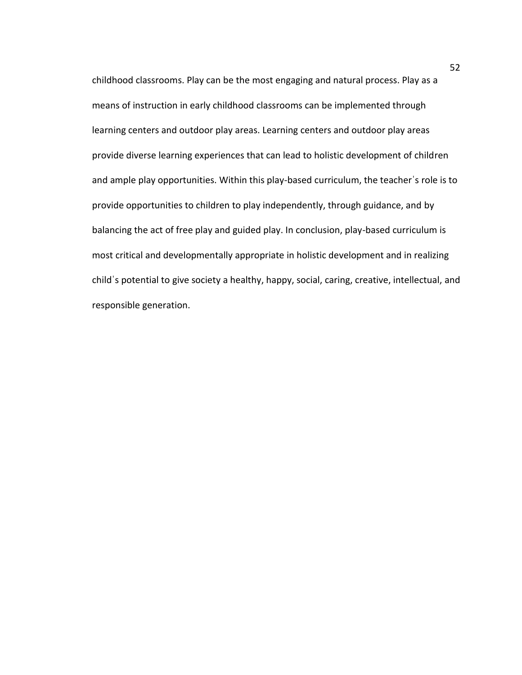childhood classrooms. Play can be the most engaging and natural process. Play as a means of instruction in early childhood classrooms can be implemented through learning centers and outdoor play areas. Learning centers and outdoor play areas provide diverse learning experiences that can lead to holistic development of children and ample play opportunities. Within this play-based curriculum, the teacherˈs role is to provide opportunities to children to play independently, through guidance, and by balancing the act of free play and guided play. In conclusion, play-based curriculum is most critical and developmentally appropriate in holistic development and in realizing childˈs potential to give society a healthy, happy, social, caring, creative, intellectual, and responsible generation.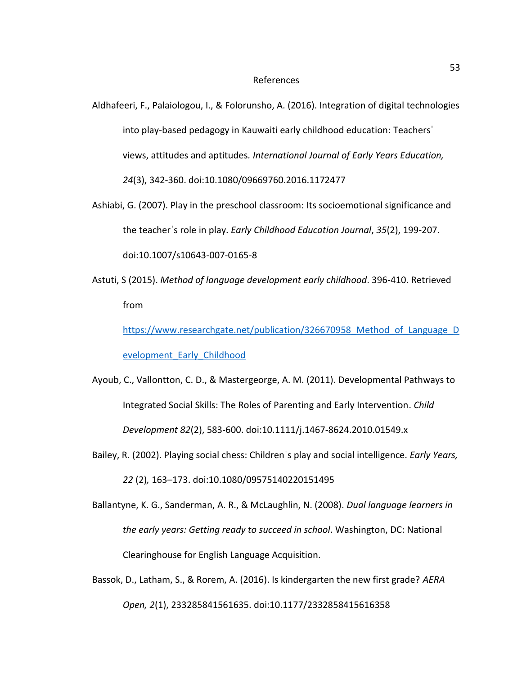#### References

Aldhafeeri, F., Palaiologou, I., & Folorunsho, A. (2016). Integration of digital technologies into play-based pedagogy in Kauwaiti early childhood education: Teachersˈ views, attitudes and aptitudes*. International Journal of Early Years Education, 24*(3), 342-360. doi:10.1080/09669760.2016.1172477

- Ashiabi, G. (2007). Play in the preschool classroom: Its socioemotional significance and the teacherˈs role in play. *Early Childhood Education Journal*, *35*(2), 199-207. doi:10.1007/s10643-007-0165-8
- Astuti, S (2015). *Method of language development early childhood*. 396-410. Retrieved from

https://www.researchgate.net/publication/326670958 Method of Language D [evelopment\\_Early\\_Childhood](https://www.researchgate.net/publication/326670958_Method_of_Language_Development_Early_Childhood)

- Ayoub, C., Vallontton, C. D., & Mastergeorge, A. M. (2011). Developmental Pathways to Integrated Social Skills: The Roles of Parenting and Early Intervention. *Child Development 82*(2), 583-600. doi:10.1111/j.1467-8624.2010.01549.x
- Bailey, R. (2002). Playing social chess: Childrenˈs play and social intelligence. *Early Years, 22* (2)*,* 163–173. doi:10.1080/09575140220151495
- Ballantyne, K. G., Sanderman, A. R., & McLaughlin, N. (2008). *Dual language learners in the early years: Getting ready to succeed in school*. Washington, DC: National Clearinghouse for English Language Acquisition.
- Bassok, D., Latham, S., & Rorem, A. (2016). Is kindergarten the new first grade? *AERA Open, 2*(1), 233285841561635. doi:10.1177/2332858415616358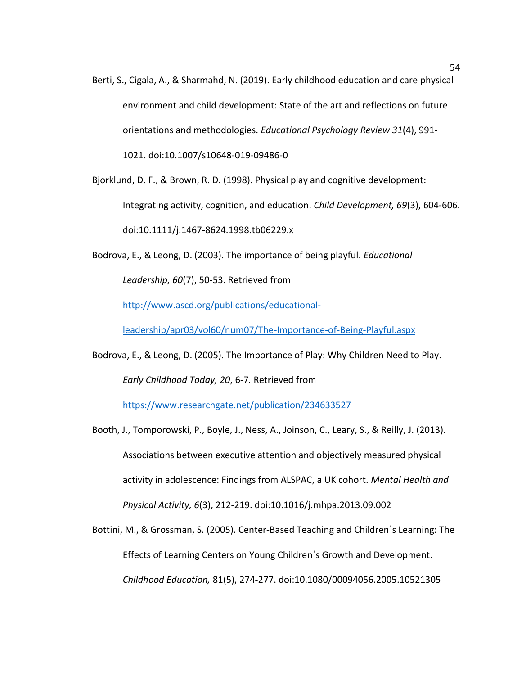Berti, S., Cigala, A., & Sharmahd, N. (2019). Early childhood education and care physical environment and child development: State of the art and reflections on future orientations and methodologies. *Educational Psychology Review 31*(4), 991- 1021. doi:10.1007/s10648-019-09486-0

Bjorklund, D. F., & Brown, R. D. (1998). Physical play and cognitive development: Integrating activity, cognition, and education. *Child Development, 69*(3), 604-606. doi:10.1111/j.1467-8624.1998.tb06229.x

Bodrova, E., & Leong, D. (2003). The importance of being playful. *Educational Leadership, 60*(7), 50-53. Retrieved from

[http://www.ascd.org/publications/educational-](http://www.ascd.org/publications/educational-leadership/apr03/vol60/num07/The-Importance-of-Being-Playful.aspx)

[leadership/apr03/vol60/num07/The-Importance-of-Being-Playful.aspx](http://www.ascd.org/publications/educational-leadership/apr03/vol60/num07/The-Importance-of-Being-Playful.aspx)

Bodrova, E., & Leong, D. (2005). The Importance of Play: Why Children Need to Play. *Early Childhood Today, 20*, 6-7*.* Retrieved from

<https://www.researchgate.net/publication/234633527>

Booth, J., Tomporowski, P., Boyle, J., Ness, A., Joinson, C., Leary, S., & Reilly, J. (2013). Associations between executive attention and objectively measured physical activity in adolescence: Findings from ALSPAC, a UK cohort. *Mental Health and Physical Activity, 6*(3), 212-219. doi:10.1016/j.mhpa.2013.09.002

Bottini, M., & Grossman, S. (2005). Center-Based Teaching and Childrenˈs Learning: The Effects of Learning Centers on Young Childrenˈs Growth and Development. *Childhood Education,* 81(5), 274-277. doi:10.1080/00094056.2005.10521305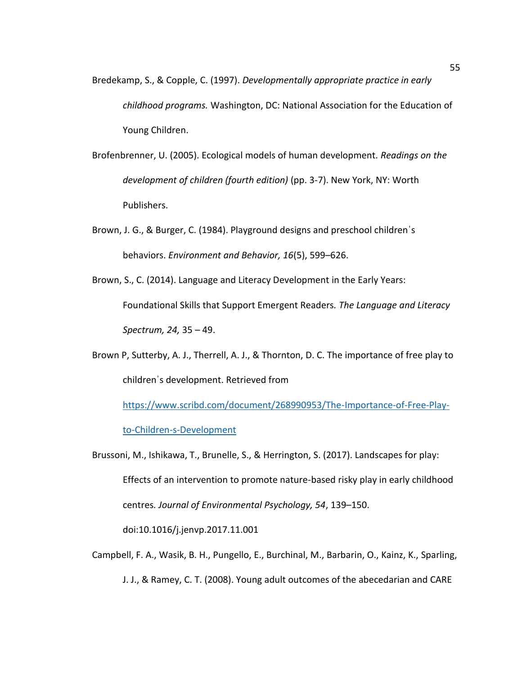- Bredekamp, S., & Copple, C. (1997). *Developmentally appropriate practice in early childhood programs.* Washington, DC: National Association for the Education of Young Children.
- Brofenbrenner, U. (2005). Ecological models of human development*. Readings on the development of children (fourth edition)* (pp. 3-7). New York, NY: Worth Publishers.
- Brown, J. G., & Burger, C. (1984). Playground designs and preschool childrenˈs behaviors. *Environment and Behavior, 16*(5), 599–626.
- Brown, S., C. (2014). Language and Literacy Development in the Early Years: Foundational Skills that Support Emergent Readers*. The Language and Literacy Spectrum, 24,* 35 – 49.
- Brown P, Sutterby, A. J., Therrell, A. J., & Thornton, D. C. The importance of free play to childrenˈs development. Retrieved from

[https://www.scribd.com/document/268990953/The-Importance-of-Free-Play](https://www.scribd.com/document/268990953/The-Importance-of-Free-Play-to-Children-s-Development)[to-Children-s-Development](https://www.scribd.com/document/268990953/The-Importance-of-Free-Play-to-Children-s-Development)

Brussoni, M., Ishikawa, T., Brunelle, S., & Herrington, S. (2017). Landscapes for play: Effects of an intervention to promote nature-based risky play in early childhood centres*. Journal of Environmental Psychology, 54*, 139–150.

doi:10.1016/j.jenvp.2017.11.001

Campbell, F. A., Wasik, B. H., Pungello, E., Burchinal, M., Barbarin, O., Kainz, K., Sparling, J. J., & Ramey, C. T. (2008). Young adult outcomes of the abecedarian and CARE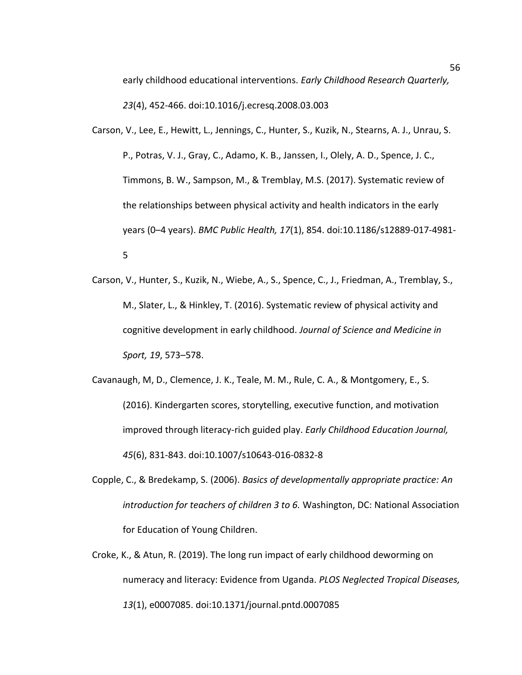early childhood educational interventions. *Early Childhood Research Quarterly, 23*(4), 452-466. doi:10.1016/j.ecresq.2008.03.003

- Carson, V., Lee, E., Hewitt, L., Jennings, C., Hunter, S., Kuzik, N., Stearns, A. J., Unrau, S. P., Potras, V. J., Gray, C., Adamo, K. B., Janssen, I., Olely, A. D., Spence, J. C., Timmons, B. W., Sampson, M., & Tremblay, M.S. (2017). Systematic review of the relationships between physical activity and health indicators in the early years (0–4 years). *BMC Public Health, 17*(1), 854. doi:10.1186/s12889-017-4981- 5
- Carson, V., Hunter, S., Kuzik, N., Wiebe, A., S., Spence, C., J., Friedman, A., Tremblay, S., M., Slater, L., & Hinkley, T. (2016). Systematic review of physical activity and cognitive development in early childhood. *Journal of Science and Medicine in Sport, 19*, 573–578.

Cavanaugh, M, D., Clemence, J. K., Teale, M. M., Rule, C. A., & Montgomery, E., S. (2016). Kindergarten scores, storytelling, executive function, and motivation improved through literacy-rich guided play. *Early Childhood Education Journal, 45*(6), 831-843. doi:10.1007/s10643-016-0832-8

- Copple, C., & Bredekamp, S. (2006). *Basics of developmentally appropriate practice: An introduction for teachers of children 3 to 6.* Washington, DC: National Association for Education of Young Children.
- Croke, K., & Atun, R. (2019). The long run impact of early childhood deworming on numeracy and literacy: Evidence from Uganda. *PLOS Neglected Tropical Diseases, 13*(1), e0007085. doi:10.1371/journal.pntd.0007085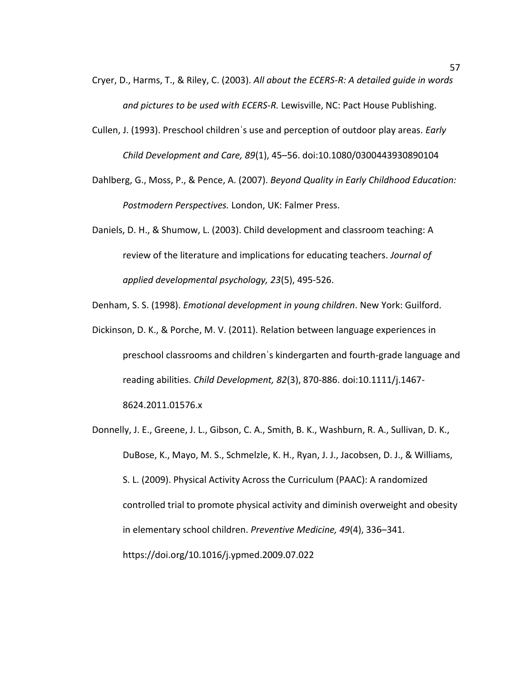- Cryer, D., Harms, T., & Riley, C. (2003). *All about the ECERS-R: A detailed guide in words and pictures to be used with ECERS-R.* Lewisville, NC: Pact House Publishing.
- Cullen, J. (1993). Preschool childrenˈs use and perception of outdoor play areas. *Early Child Development and Care, 89*(1), 45–56. doi:10.1080/0300443930890104
- Dahlberg, G., Moss, P., & Pence, A. (2007). *Beyond Quality in Early Childhood Education: Postmodern Perspectives.* London, UK: Falmer Press.
- Daniels, D. H., & Shumow, L. (2003). Child development and classroom teaching: A review of the literature and implications for educating teachers. *Journal of applied developmental psychology, 23*(5), 495-526.
- Denham, S. S. (1998). *Emotional development in young children*. New York: Guilford.
- Dickinson, D. K., & Porche, M. V. (2011). Relation between language experiences in preschool classrooms and childrenˈs kindergarten and fourth-grade language and reading abilities. *Child Development, 82*(3), 870-886. doi:10.1111/j.1467- 8624.2011.01576.x
- Donnelly, J. E., Greene, J. L., Gibson, C. A., Smith, B. K., Washburn, R. A., Sullivan, D. K., DuBose, K., Mayo, M. S., Schmelzle, K. H., Ryan, J. J., Jacobsen, D. J., & Williams, S. L. (2009). Physical Activity Across the Curriculum (PAAC): A randomized controlled trial to promote physical activity and diminish overweight and obesity in elementary school children. *Preventive Medicine, 49*(4), 336–341. https://doi.org/10.1016/j.ypmed.2009.07.022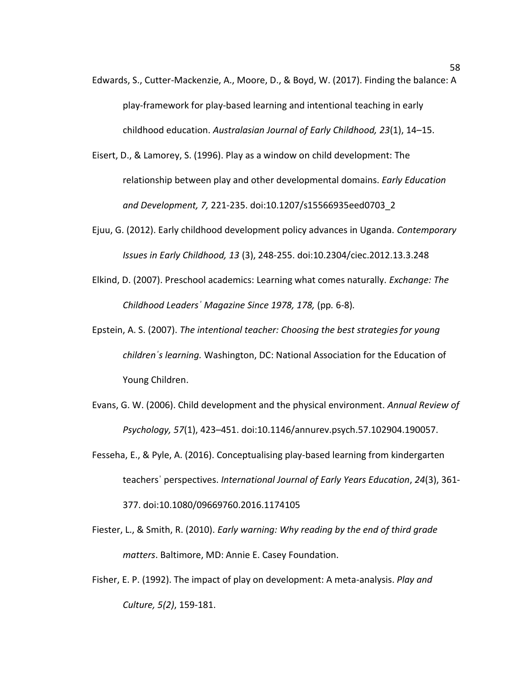- Edwards, S., Cutter-Mackenzie, A., Moore, D., & Boyd, W. (2017). Finding the balance: A play-framework for play-based learning and intentional teaching in early childhood education. *Australasian Journal of Early Childhood, 23*(1), 14–15.
- Eisert, D., & Lamorey, S. (1996). Play as a window on child development: The relationship between play and other developmental domains. *Early Education and Development, 7,* 221-235. doi:10.1207/s15566935eed0703\_2
- Ejuu, G. (2012). Early childhood development policy advances in Uganda. *Contemporary Issues in Early Childhood, 13* (3), 248-255. doi:10.2304/ciec.2012.13.3.248
- Elkind, D. (2007). Preschool academics: Learning what comes naturally. *Exchange: The Childhood Leadersˈ Magazine Since 1978, 178,* (pp*.* 6-8)*.*
- Epstein, A. S. (2007). *The intentional teacher: Choosing the best strategies for young childrenˈs learning.* Washington, DC: National Association for the Education of Young Children.
- Evans, G. W. (2006). Child development and the physical environment. *Annual Review of Psychology, 57*(1), 423–451. doi:10.1146/annurev.psych.57.102904.190057.
- Fesseha, E., & Pyle, A. (2016). Conceptualising play-based learning from kindergarten teachersˈ perspectives. *International Journal of Early Years Education*, *24*(3), 361- 377. doi:10.1080/09669760.2016.1174105
- Fiester, L., & Smith, R. (2010). *Early warning: Why reading by the end of third grade matters*. Baltimore, MD: Annie E. Casey Foundation.
- Fisher, E. P. (1992). The impact of play on development: A meta-analysis. *Play and Culture, 5(2)*, 159-181.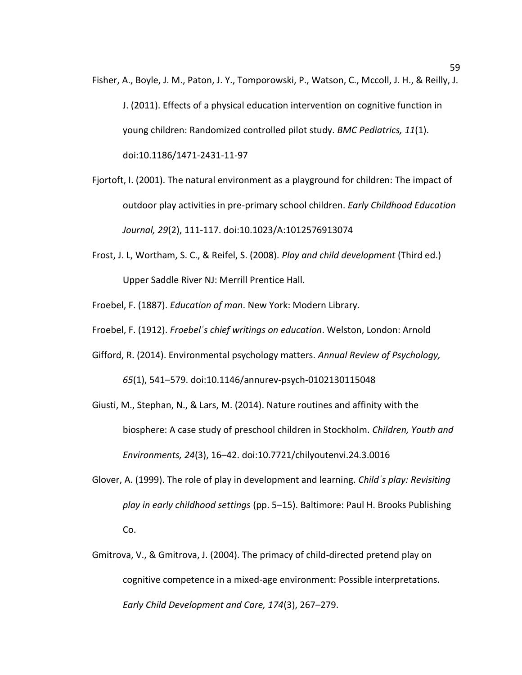- Fisher, A., Boyle, J. M., Paton, J. Y., Tomporowski, P., Watson, C., Mccoll, J. H., & Reilly, J. J. (2011). Effects of a physical education intervention on cognitive function in young children: Randomized controlled pilot study. *BMC Pediatrics, 11*(1). doi:10.1186/1471-2431-11-97
- Fjortoft, I. (2001). The natural environment as a playground for children: The impact of outdoor play activities in pre-primary school children. *Early Childhood Education Journal, 29*(2), 111-117. doi:10.1023/A:1012576913074
- Frost, J. L, Wortham, S. C., & Reifel, S. (2008). *Play and child development* (Third ed.) Upper Saddle River NJ: Merrill Prentice Hall.
- Froebel, F. (1887). *Education of man*. New York: Modern Library.
- Froebel, F. (1912). *Froebelˈs chief writings on education*. Welston, London: Arnold
- Gifford, R. (2014). Environmental psychology matters. *Annual Review of Psychology, 65*(1), 541–579. doi:10.1146/annurev-psych-0102130115048
- Giusti, M., Stephan, N., & Lars, M. (2014). Nature routines and affinity with the biosphere: A case study of preschool children in Stockholm. *Children, Youth and Environments, 24*(3), 16–42. doi:10.7721/chilyoutenvi.24.3.0016
- Glover, A. (1999). The role of play in development and learning. *Childˈs play: Revisiting play in early childhood settings* (pp. 5–15). Baltimore: Paul H. Brooks Publishing Co.
- Gmitrova, V., & Gmitrova, J. (2004). The primacy of child-directed pretend play on cognitive competence in a mixed-age environment: Possible interpretations. *Early Child Development and Care, 174*(3), 267–279.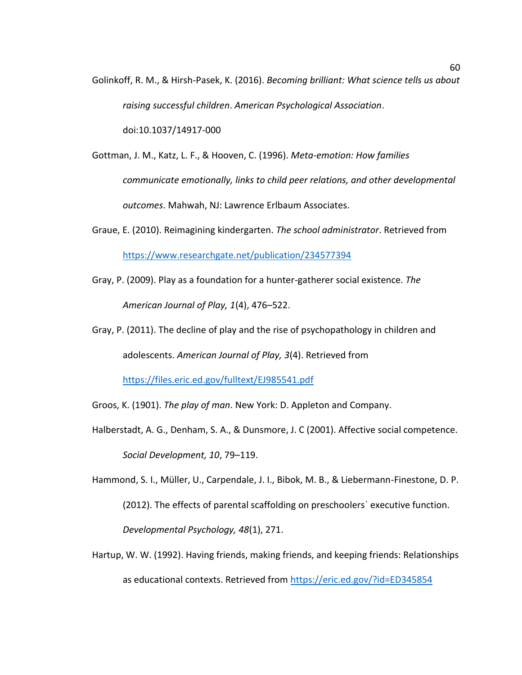Golinkoff, R. M., & Hirsh-Pasek, K. (2016). *Becoming brilliant: What science tells us about raising successful children*. *American Psychological Association*.

doi:10.1037/14917-000

Gottman, J. M., Katz, L. F., & Hooven, C. (1996). *Meta-emotion: How families communicate emotionally, links to child peer relations, and other developmental outcomes*. Mahwah, NJ: Lawrence Erlbaum Associates.

- Graue, E. (2010). Reimagining kindergarten. *The school administrator*. Retrieved from <https://www.researchgate.net/publication/234577394>
- Gray, P. (2009). Play as a foundation for a hunter-gatherer social existence. *The American Journal of Play, 1*(4), 476–522.
- Gray, P. (2011). The decline of play and the rise of psychopathology in children and adolescents. *American Journal of Play, 3*(4). Retrieved from

<https://files.eric.ed.gov/fulltext/EJ985541.pdf>

- Groos, K. (1901). *The play of man*. New York: D. Appleton and Company.
- Halberstadt, A. G., Denham, S. A., & Dunsmore, J. C (2001). Affective social competence. *Social Development, 10*, 79–119.
- Hammond, S. I., Müller, U., Carpendale, J. I., Bibok, M. B., & Liebermann-Finestone, D. P. (2012). The effects of parental scaffolding on preschoolersˈ executive function. *Developmental Psychology, 48*(1), 271.
- Hartup, W. W. (1992). Having friends, making friends, and keeping friends: Relationships as educational contexts. Retrieved from<https://eric.ed.gov/?id=ED345854>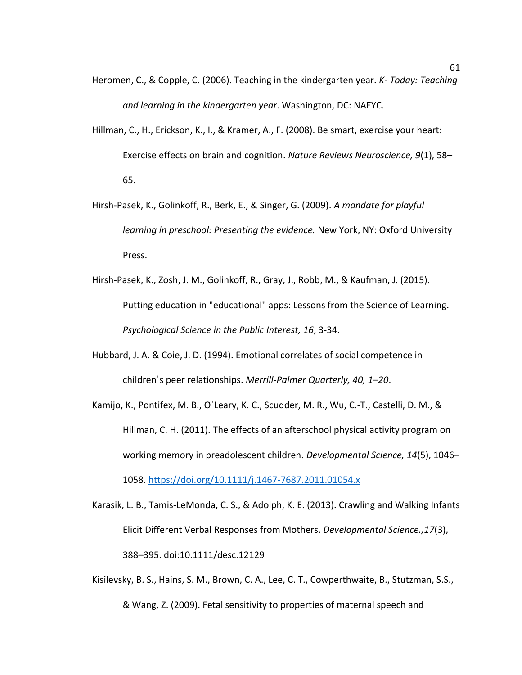- Heromen, C., & Copple, C. (2006). Teaching in the kindergarten year. *K- Today: Teaching and learning in the kindergarten year*. Washington, DC: NAEYC.
- Hillman, C., H., Erickson, K., I., & Kramer, A., F. (2008). Be smart, exercise your heart: Exercise effects on brain and cognition. *Nature Reviews Neuroscience, 9*(1), 58– 65.
- Hirsh-Pasek, K., Golinkoff, R., Berk, E., & Singer, G. (2009). *A mandate for playful learning in preschool: Presenting the evidence.* New York, NY: Oxford University Press.
- Hirsh-Pasek, K., Zosh, J. M., Golinkoff, R., Gray, J., Robb, M., & Kaufman, J. (2015). Putting education in "educational" apps: Lessons from the Science of Learning. *Psychological Science in the Public Interest, 16*, 3-34.
- Hubbard, J. A. & Coie, J. D. (1994). Emotional correlates of social competence in childrenˈs peer relationships. *Merrill-Palmer Quarterly, 40, 1–20*.
- Kamijo, K., Pontifex, M. B., OˈLeary, K. C., Scudder, M. R., Wu, C.-T., Castelli, D. M., & Hillman, C. H. (2011). The effects of an afterschool physical activity program on working memory in preadolescent children. *Developmental Science, 14*(5), 1046– 1058.<https://doi.org/10.1111/j.1467-7687.2011.01054.x>
- Karasik, L. B., Tamis-LeMonda, C. S., & Adolph, K. E. (2013). Crawling and Walking Infants Elicit Different Verbal Responses from Mothers. *Developmental Science.,17*(3), 388–395. doi:10.1111/desc.12129
- Kisilevsky, B. S., Hains, S. M., Brown, C. A., Lee, C. T., Cowperthwaite, B., Stutzman, S.S., & Wang, Z. (2009). Fetal sensitivity to properties of maternal speech and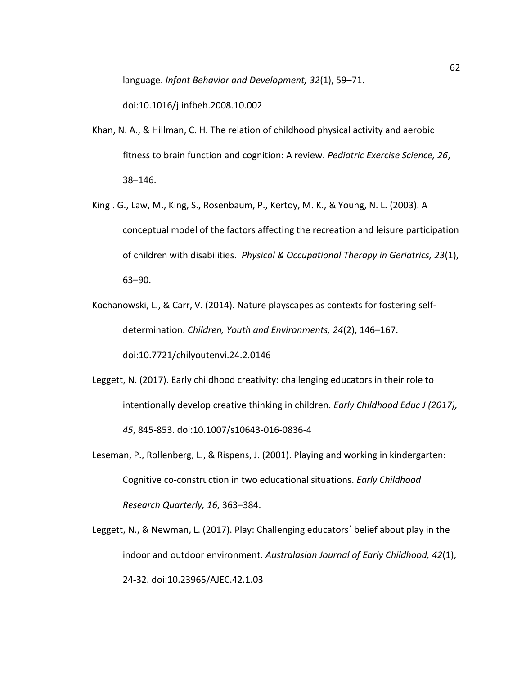language. *Infant Behavior and Development, 32*(1), 59–71.

doi:10.1016/j.infbeh.2008.10.002

- Khan, N. A., & Hillman, C. H. The relation of childhood physical activity and aerobic fitness to brain function and cognition: A review. *Pediatric Exercise Science, 26*, 38–146.
- King . G., Law, M., King, S., Rosenbaum, P., Kertoy, M. K., & Young, N. L. (2003). A conceptual model of the factors affecting the recreation and leisure participation of children with disabilities. *Physical & Occupational Therapy in Geriatrics, 23*(1), 63–90.
- Kochanowski, L., & Carr, V. (2014). Nature playscapes as contexts for fostering selfdetermination. *Children, Youth and Environments, 24*(2), 146–167.

doi:10.7721/chilyoutenvi.24.2.0146

- Leggett, N. (2017). Early childhood creativity: challenging educators in their role to intentionally develop creative thinking in children. *Early Childhood Educ J (2017), 45*, 845-853. doi:10.1007/s10643-016-0836-4
- Leseman, P., Rollenberg, L., & Rispens, J. (2001). Playing and working in kindergarten: Cognitive co-construction in two educational situations. *Early Childhood Research Quarterly, 16,* 363–384.
- Leggett, N., & Newman, L. (2017). Play: Challenging educatorsˈ belief about play in the indoor and outdoor environment. *Australasian Journal of Early Childhood, 42*(1), 24-32. doi:10.23965/AJEC.42.1.03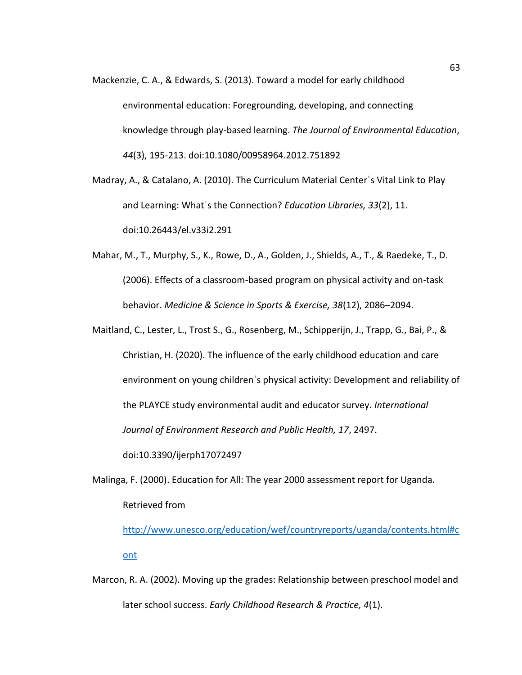Mackenzie, C. A., & Edwards, S. (2013). Toward a model for early childhood environmental education: Foregrounding, developing, and connecting knowledge through play-based learning. *The Journal of Environmental Education*, *44*(3), 195-213. doi:10.1080/00958964.2012.751892

Madray, A., & Catalano, A. (2010). The Curriculum Material Centerˈs Vital Link to Play and Learning: Whatˈs the Connection? *Education Libraries, 33*(2), 11. doi:10.26443/el.v33i2.291

Mahar, M., T., Murphy, S., K., Rowe, D., A., Golden, J., Shields, A., T., & Raedeke, T., D. (2006). Effects of a classroom-based program on physical activity and on-task behavior. *Medicine & Science in Sports & Exercise, 38*(12), 2086–2094.

Maitland, C., Lester, L., Trost S., G., Rosenberg, M., Schipperijn, J., Trapp, G., Bai, P., & Christian, H. (2020). The influence of the early childhood education and care environment on young childrenˈs physical activity: Development and reliability of the PLAYCE study environmental audit and educator survey. *International Journal of Environment Research and Public Health, 17*, 2497.

doi:10.3390/ijerph17072497

Malinga, F. (2000). Education for All: The year 2000 assessment report for Uganda. Retrieved from

[http://www.unesco.org/education/wef/countryreports/uganda/contents.html#c](http://www.unesco.org/education/wef/countryreports/uganda/contents.html#cont) [ont](http://www.unesco.org/education/wef/countryreports/uganda/contents.html#cont)

Marcon, R. A. (2002). Moving up the grades: Relationship between preschool model and later school success. *Early Childhood Research & Practice, 4*(1).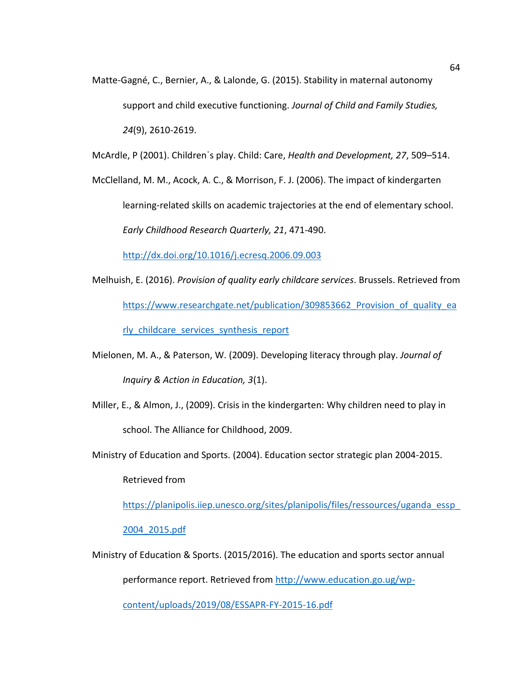Matte-Gagné, C., Bernier, A., & Lalonde, G. (2015). Stability in maternal autonomy support and child executive functioning. *Journal of Child and Family Studies, 24*(9), 2610-2619.

McArdle, P (2001). Childrenˈs play. Child: Care, *Health and Development, 27*, 509–514.

McClelland, M. M., Acock, A. C., & Morrison, F. J. (2006). The impact of kindergarten learning-related skills on academic trajectories at the end of elementary school*. Early Childhood Research Quarterly, 21*, 471-490.

<http://dx.doi.org/10.1016/j.ecresq.2006.09.003>

- Melhuish, E. (2016). *Provision of quality early childcare services*. Brussels. Retrieved from https://www.researchgate.net/publication/309853662 Provision of quality ea rly childcare services synthesis report
- Mielonen, M. A., & Paterson, W. (2009). Developing literacy through play. *Journal of Inquiry & Action in Education, 3*(1).
- Miller, E., & Almon, J., (2009). Crisis in the kindergarten: Why children need to play in school. The Alliance for Childhood, 2009.
- Ministry of Education and Sports. (2004). Education sector strategic plan 2004-2015.

Retrieved from

https://planipolis.iiep.unesco.org/sites/planipolis/files/ressources/uganda\_essp

[2004\\_2015.pdf](https://planipolis.iiep.unesco.org/sites/planipolis/files/ressources/uganda_essp_2004_2015.pdf)

Ministry of Education & Sports. (2015/2016). The education and sports sector annual

performance report. Retrieved from [http://www.education.go.ug/wp-](http://www.education.go.ug/wp-content/uploads/2019/08/ESSAPR-FY-2015-16.pdf)

[content/uploads/2019/08/ESSAPR-FY-2015-16.pdf](http://www.education.go.ug/wp-content/uploads/2019/08/ESSAPR-FY-2015-16.pdf)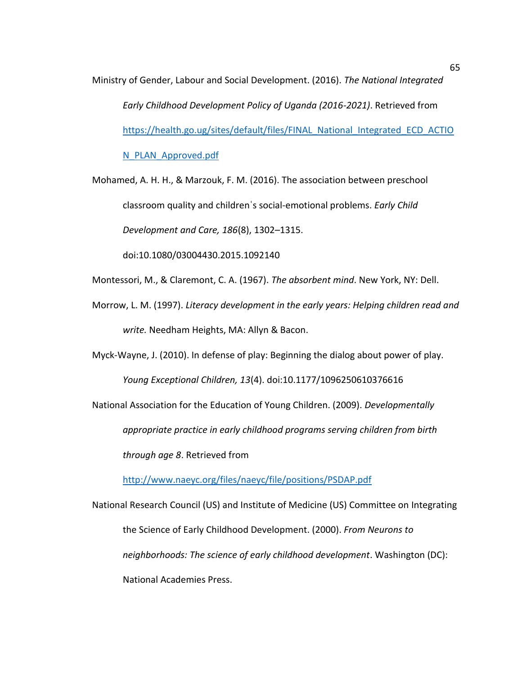Ministry of Gender, Labour and Social Development. (2016). *The National Integrated Early Childhood Development Policy of Uganda (2016-2021)*. Retrieved from [https://health.go.ug/sites/default/files/FINAL\\_National\\_Integrated\\_ECD\\_ACTIO](https://health.go.ug/sites/default/files/FINAL_National_Integrated_ECD_ACTION_PLAN_Approved.pdf) [N\\_PLAN\\_Approved.pdf](https://health.go.ug/sites/default/files/FINAL_National_Integrated_ECD_ACTION_PLAN_Approved.pdf)

Mohamed, A. H. H., & Marzouk, F. M. (2016). The association between preschool classroom quality and childrenˈs social-emotional problems. *Early Child Development and Care, 186*(8), 1302–1315.

doi:10.1080/03004430.2015.1092140

Montessori, M., & Claremont, C. A. (1967). *The absorbent mind*. New York, NY: Dell.

Morrow, L. M. (1997). *Literacy development in the early years: Helping children read and write.* Needham Heights, MA: Allyn & Bacon.

Myck-Wayne, J. (2010). In defense of play: Beginning the dialog about power of play.

*Young Exceptional Children, 13*(4). doi:10.1177/1096250610376616

National Association for the Education of Young Children. (2009). *Developmentally appropriate practice in early childhood programs serving children from birth through age 8*. Retrieved from

<http://www.naeyc.org/files/naeyc/file/positions/PSDAP.pdf>

National Research Council (US) and Institute of Medicine (US) Committee on Integrating the Science of Early Childhood Development. (2000). *From Neurons to neighborhoods: The science of early childhood development*. Washington (DC): National Academies Press.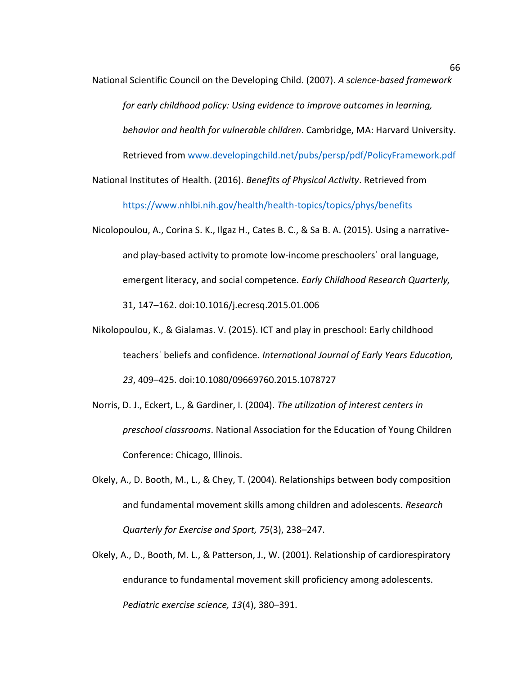National Scientific Council on the Developing Child. (2007). *A science-based framework for early childhood policy: Using evidence to improve outcomes in learning, behavior and health for vulnerable children*. Cambridge, MA: Harvard University. Retrieved from [www.developingchild.net/pubs/persp/pdf/PolicyFramework.pdf](http://www.developingchild.net/pubs/persp/pdf/PolicyFramework.pdf)

- National Institutes of Health. (2016). *Benefits of Physical Activity*. Retrieved from <https://www.nhlbi.nih.gov/health/health-topics/topics/phys/benefits>
- Nicolopoulou, A., Corina S. K., Ilgaz H., Cates B. C., & Sa B. A. (2015). Using a narrativeand play-based activity to promote low-income preschoolersˈ oral language, emergent literacy, and social competence. *Early Childhood Research Quarterly,* 31, 147–162. doi:10.1016/j.ecresq.2015.01.006
- Nikolopoulou, K., & Gialamas. V. (2015). ICT and play in preschool: Early childhood teachersˈ beliefs and confidence. *International Journal of Early Years Education, 23*, 409–425. doi:10.1080/09669760.2015.1078727
- Norris, D. J., Eckert, L., & Gardiner, I. (2004). *The utilization of interest centers in preschool classrooms*. National Association for the Education of Young Children Conference: Chicago, Illinois.
- Okely, A., D. Booth, M., L., & Chey, T. (2004). Relationships between body composition and fundamental movement skills among children and adolescents. *Research Quarterly for Exercise and Sport, 75*(3), 238–247.
- Okely, A., D., Booth, M. L., & Patterson, J., W. (2001). Relationship of cardiorespiratory endurance to fundamental movement skill proficiency among adolescents. *Pediatric exercise science, 13*(4), 380–391.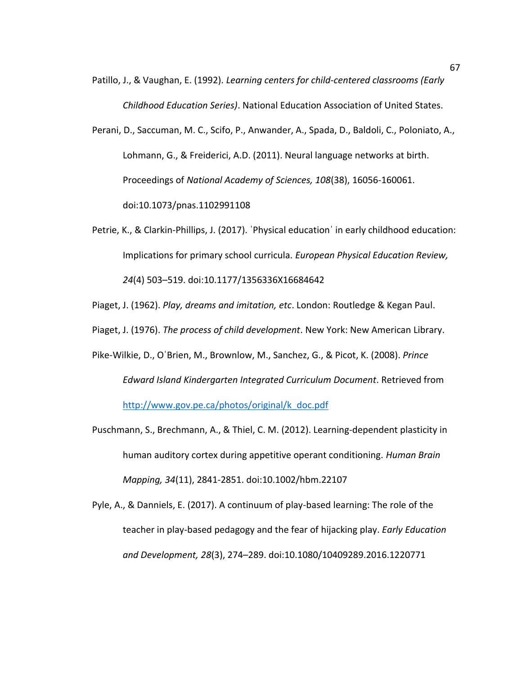- Patillo, J., & Vaughan, E. (1992). *Learning centers for child-centered classrooms (Early Childhood Education Series)*. National Education Association of United States.
- Perani, D., Saccuman, M. C., Scifo, P., Anwander, A., Spada, D., Baldoli, C., Poloniato, A., Lohmann, G., & Freiderici, A.D. (2011). Neural language networks at birth. Proceedings of *National Academy of Sciences, 108*(38), 16056-160061. doi:10.1073/pnas.1102991108
- Petrie, K., & Clarkin-Phillips, J. (2017). 'Physical education' in early childhood education: Implications for primary school curricula. *European Physical Education Review, 24*(4) 503–519. doi:10.1177/1356336X16684642
- Piaget, J. (1962). *Play, dreams and imitation, etc*. London: Routledge & Kegan Paul.
- Piaget, J. (1976). *The process of child development*. New York: New American Library.
- Pike-Wilkie, D., OˈBrien, M., Brownlow, M., Sanchez, G., & Picot, K. (2008). *Prince Edward Island Kindergarten Integrated Curriculum Document*. Retrieved from [http://www.gov.pe.ca/photos/original/k\\_doc.pdf](http://www.gov.pe.ca/photos/original/k_doc.pdf)
- Puschmann, S., Brechmann, A., & Thiel, C. M. (2012). Learning-dependent plasticity in human auditory cortex during appetitive operant conditioning. *Human Brain Mapping, 34*(11), 2841-2851. doi:10.1002/hbm.22107
- Pyle, A., & Danniels, E. (2017). A continuum of play-based learning: The role of the teacher in play-based pedagogy and the fear of hijacking play. *Early Education and Development, 28*(3), 274–289. doi:10.1080/10409289.2016.1220771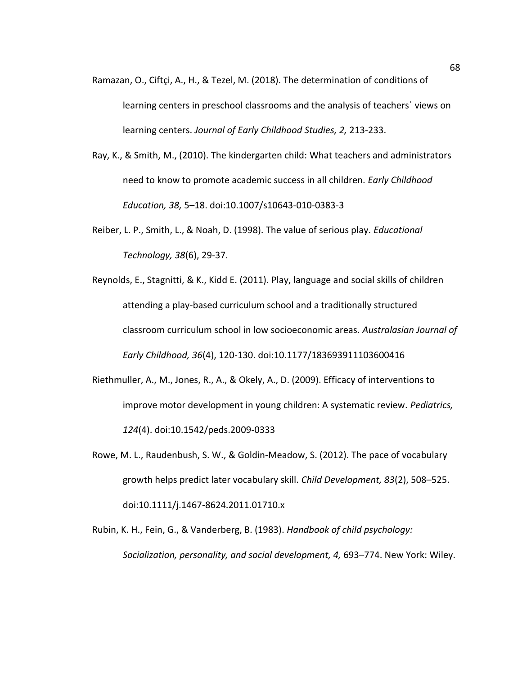- Ramazan, O., Ciftçi, A., H., & Tezel, M. (2018). The determination of conditions of learning centers in preschool classrooms and the analysis of teachersˈ views on learning centers. *Journal of Early Childhood Studies, 2,* 213-233.
- Ray, K., & Smith, M., (2010). The kindergarten child: What teachers and administrators need to know to promote academic success in all children. *Early Childhood Education, 38,* 5–18. doi:10.1007/s10643-010-0383-3
- Reiber, L. P., Smith, L., & Noah, D. (1998). The value of serious play. *Educational Technology, 38*(6), 29-37.
- Reynolds, E., Stagnitti, & K., Kidd E. (2011). Play, language and social skills of children attending a play-based curriculum school and a traditionally structured classroom curriculum school in low socioeconomic areas. *Australasian Journal of Early Childhood, 36*(4), 120-130. doi:10.1177/183693911103600416
- Riethmuller, A., M., Jones, R., A., & Okely, A., D. (2009). Efficacy of interventions to improve motor development in young children: A systematic review. *Pediatrics, 124*(4). doi:10.1542/peds.2009-0333
- Rowe, M. L., Raudenbush, S. W., & Goldin-Meadow, S. (2012). The pace of vocabulary growth helps predict later vocabulary skill. *Child Development, 83*(2), 508–525. doi:10.1111/j.1467-8624.2011.01710.x
- Rubin, K. H., Fein, G., & Vanderberg, B. (1983). *Handbook of child psychology: Socialization, personality, and social development, 4,* 693–774. New York: Wiley.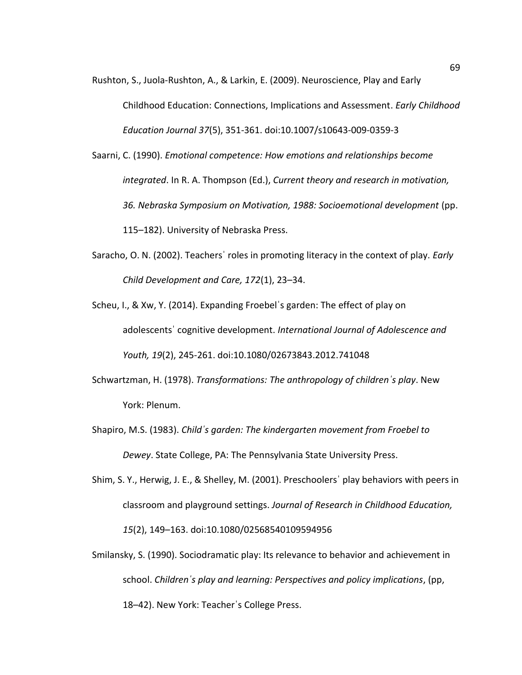- Rushton, S., Juola-Rushton, A., & Larkin, E. (2009). Neuroscience, Play and Early Childhood Education: Connections, Implications and Assessment. *Early Childhood Education Journal 37*(5), 351-361. doi:10.1007/s10643-009-0359-3
- Saarni, C. (1990). *Emotional competence: How emotions and relationships become integrated*. In R. A. Thompson (Ed.), *Current theory and research in motivation, 36. Nebraska Symposium on Motivation, 1988: Socioemotional development* (pp. 115–182). University of Nebraska Press.
- Saracho, O. N. (2002). Teachersˈ roles in promoting literacy in the context of play. *Early Child Development and Care, 172*(1), 23–34.
- Scheu, I., & Xw, Y. (2014). Expanding Froebelˈs garden: The effect of play on adolescentsˈ cognitive development. *International Journal of Adolescence and Youth, 19*(2), 245-261. doi:10.1080/02673843.2012.741048
- Schwartzman, H. (1978). *Transformations: The anthropology of childrenˈs play*. New York: Plenum.
- Shapiro, M.S. (1983). *Childˈs garden: The kindergarten movement from Froebel to Dewey*. State College, PA: The Pennsylvania State University Press.
- Shim, S. Y., Herwig, J. E., & Shelley, M. (2001). Preschoolersˈ play behaviors with peers in classroom and playground settings. *Journal of Research in Childhood Education, 15*(2), 149–163. doi:10.1080/02568540109594956
- Smilansky, S. (1990). Sociodramatic play: Its relevance to behavior and achievement in school. *Childrenˈs play and learning: Perspectives and policy implications*, (pp, 18–42). New York: Teacherˈs College Press.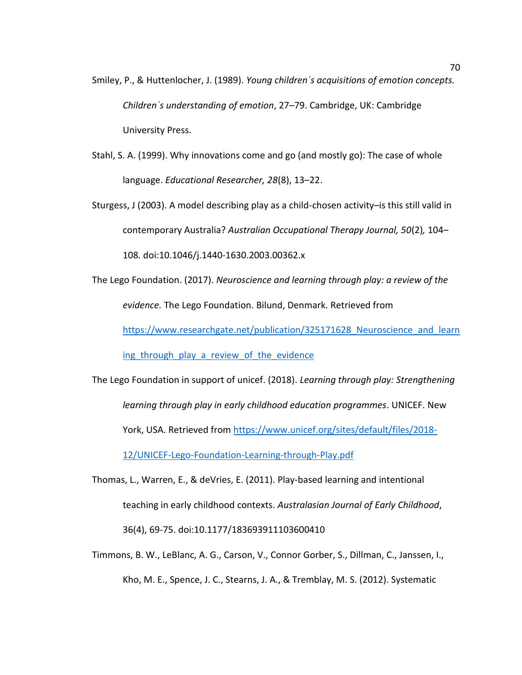- Smiley, P., & Huttenlocher, J. (1989). *Young childrenˈs acquisitions of emotion concepts. Childrenˈs understanding of emotion*, 27–79. Cambridge, UK: Cambridge University Press.
- Stahl, S. A. (1999). Why innovations come and go (and mostly go): The case of whole language. *Educational Researcher, 28*(8), 13–22.
- Sturgess, J (2003). A model describing play as a child-chosen activity–is this still valid in contemporary Australia? *Australian Occupational Therapy Journal, 50*(2)*,* 104– 108*.* doi:10.1046/j.1440-1630.2003.00362.x
- The Lego Foundation. (2017). *Neuroscience and learning through play: a review of the evidence.* The Lego Foundation. Bilund, Denmark. Retrieved from

https://www.researchgate.net/publication/325171628 Neuroscience and learn

ing through play a review of the evidence

- The Lego Foundation in support of unicef. (2018). *Learning through play: Strengthening learning through play in early childhood education programmes*. UNICEF. New York, USA. Retrieved fro[m https://www.unicef.org/sites/default/files/2018-](https://www.unicef.org/sites/default/files/2018-12/UNICEF-Lego-Foundation-Learning-through-Play.pdf) [12/UNICEF-Lego-Foundation-Learning-through-Play.pdf](https://www.unicef.org/sites/default/files/2018-12/UNICEF-Lego-Foundation-Learning-through-Play.pdf)
- Thomas, L., Warren, E., & deVries, E. (2011). Play-based learning and intentional teaching in early childhood contexts. *Australasian Journal of Early Childhood*, 36(4), 69-75. doi:10.1177/183693911103600410
- Timmons, B. W., LeBlanc, A. G., Carson, V., Connor Gorber, S., Dillman, C., Janssen, I., Kho, M. E., Spence, J. C., Stearns, J. A., & Tremblay, M. S. (2012). Systematic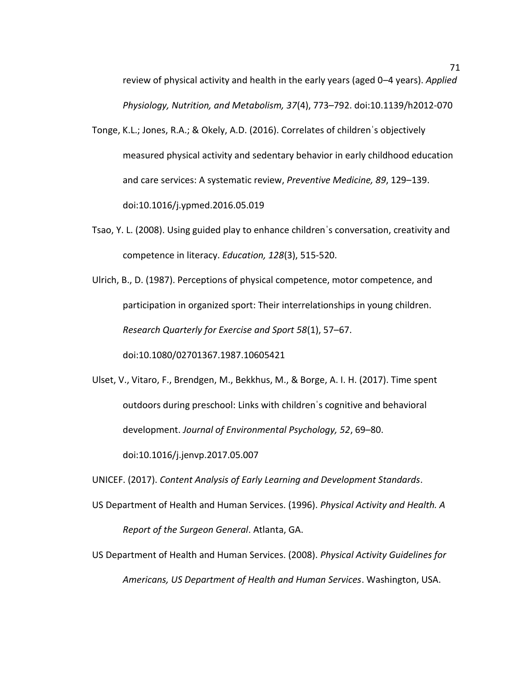review of physical activity and health in the early years (aged 0–4 years). *Applied Physiology, Nutrition, and Metabolism, 37*(4), 773–792. doi:10.1139/h2012-070

- Tonge, K.L.; Jones, R.A.; & Okely, A.D. (2016). Correlates of childrenˈs objectively measured physical activity and sedentary behavior in early childhood education and care services: A systematic review, *Preventive Medicine, 89*, 129–139. doi:10.1016/j.ypmed.2016.05.019
- Tsao, Y. L. (2008). Using guided play to enhance childrenˈs conversation, creativity and competence in literacy. *Education, 128*(3), 515-520.
- Ulrich, B., D. (1987). Perceptions of physical competence, motor competence, and participation in organized sport: Their interrelationships in young children. *Research Quarterly for Exercise and Sport 58*(1), 57–67.

doi:10.1080/02701367.1987.10605421

Ulset, V., Vitaro, F., Brendgen, M., Bekkhus, M., & Borge, A. I. H. (2017). Time spent outdoors during preschool: Links with childrenˈs cognitive and behavioral development. *Journal of Environmental Psychology, 52*, 69–80.

doi:10.1016/j.jenvp.2017.05.007

UNICEF. (2017). *Content Analysis of Early Learning and Development Standards*.

- US Department of Health and Human Services. (1996). *Physical Activity and Health. A Report of the Surgeon General*. Atlanta, GA.
- US Department of Health and Human Services. (2008). *Physical Activity Guidelines for Americans, US Department of Health and Human Services*. Washington, USA.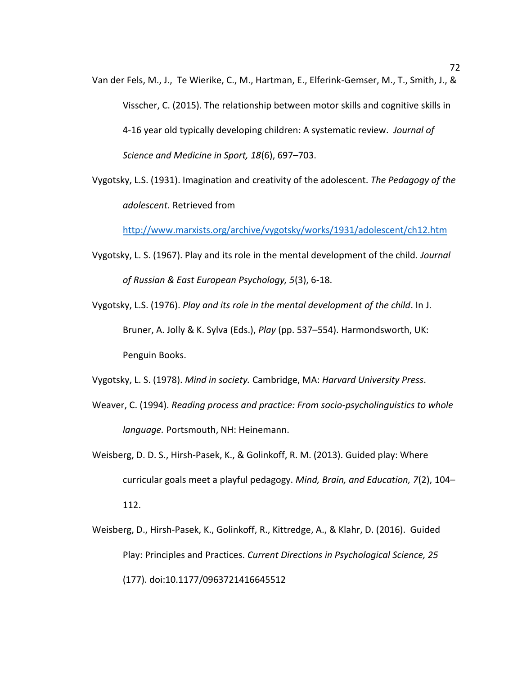- Van der Fels, M., J., Te Wierike, C., M., Hartman, E., Elferink-Gemser, M., T., Smith, J., & Visscher, C. (2015). The relationship between motor skills and cognitive skills in 4-16 year old typically developing children: A systematic review. *Journal of Science and Medicine in Sport, 18*(6), 697–703.
- Vygotsky, L.S. (1931). Imagination and creativity of the adolescent. *The Pedagogy of the adolescent.* Retrieved from

<http://www.marxists.org/archive/vygotsky/works/1931/adolescent/ch12.htm>

- Vygotsky, L. S. (1967). Play and its role in the mental development of the child. *Journal of Russian & East European Psychology, 5*(3), 6-18.
- Vygotsky, L.S. (1976). *Play and its role in the mental development of the child*. In J. Bruner, A. Jolly & K. Sylva (Eds.), *Play* (pp. 537–554). Harmondsworth, UK: Penguin Books.

Vygotsky, L. S. (1978). *Mind in society.* Cambridge, MA: *Harvard University Press*.

- Weaver, C. (1994). *Reading process and practice: From socio-psycholinguistics to whole language.* Portsmouth, NH: Heinemann.
- Weisberg, D. D. S., Hirsh-Pasek, K., & Golinkoff, R. M. (2013). Guided play: Where curricular goals meet a playful pedagogy. *Mind, Brain, and Education, 7*(2), 104– 112.
- Weisberg, D., Hirsh-Pasek, K., Golinkoff, R., Kittredge, A., & Klahr, D. (2016). Guided Play: Principles and Practices. *Current Directions in Psychological Science, 25* (177). doi:10.1177/0963721416645512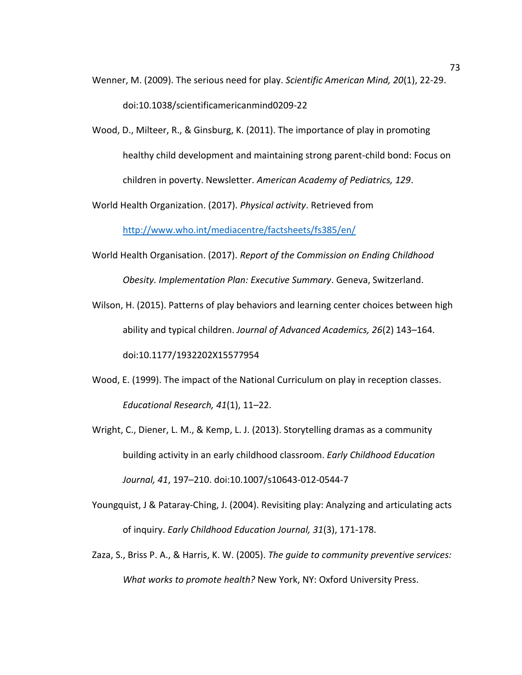- Wenner, M. (2009). The serious need for play. *Scientific American Mind, 20*(1), 22-29. doi:10.1038/scientificamericanmind0209-22
- Wood, D., Milteer, R., & Ginsburg, K. (2011). The importance of play in promoting healthy child development and maintaining strong parent-child bond: Focus on children in poverty. Newsletter. *American Academy of Pediatrics, 129*.

World Health Organization. (2017). *Physical activity*. Retrieved from

<http://www.who.int/mediacentre/factsheets/fs385/en/>

- World Health Organisation. (2017). *Report of the Commission on Ending Childhood Obesity. Implementation Plan: Executive Summary*. Geneva, Switzerland.
- Wilson, H. (2015). Patterns of play behaviors and learning center choices between high ability and typical children. *Journal of Advanced Academics, 26*(2) 143–164. doi:10.1177/1932202X15577954
- Wood, E. (1999). The impact of the National Curriculum on play in reception classes. *Educational Research, 41*(1), 11–22.
- Wright, C., Diener, L. M., & Kemp, L. J. (2013). Storytelling dramas as a community building activity in an early childhood classroom. *Early Childhood Education Journal, 41*, 197–210. doi:10.1007/s10643-012-0544-7
- Youngquist, J & Pataray-Ching, J. (2004). Revisiting play: Analyzing and articulating acts of inquiry. *Early Childhood Education Journal, 31*(3), 171-178.
- Zaza, S., Briss P. A., & Harris, K. W. (2005). *The guide to community preventive services: What works to promote health?* New York, NY: Oxford University Press.